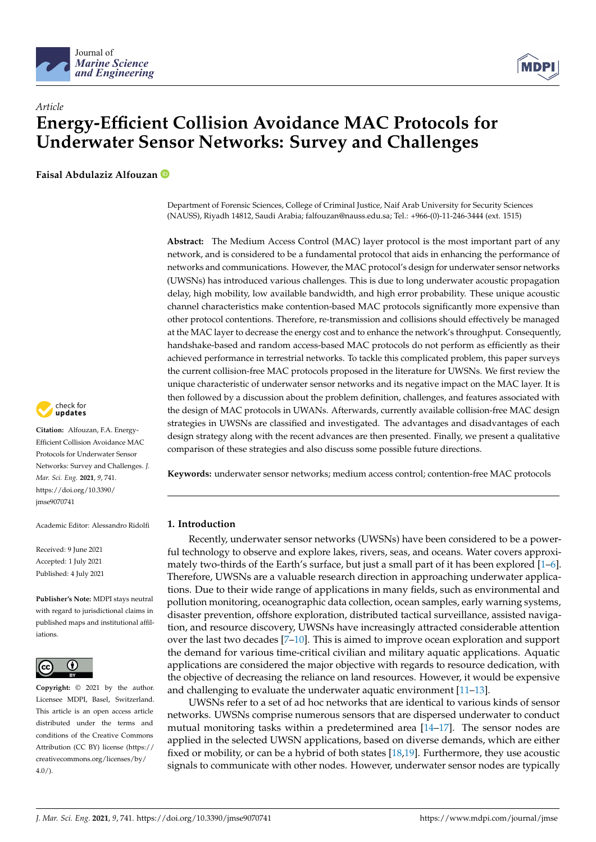



# *Article* **Energy-Efficient Collision Avoidance MAC Protocols for Underwater Sensor Networks: Survey and Challenges**

**Faisal Abdulaziz Alfouzan**

check for<br>undates

**Citation:** Alfouzan, F.A. Energy-Efficient Collision Avoidance MAC Protocols for Underwater Sensor Networks: Survey and Challenges. *J. Mar. Sci. Eng.* **2021**, *9*, 741. [https://doi.org/10.3390/](https://doi.org/10.3390/jmse9070741) [jmse9070741](https://doi.org/10.3390/jmse9070741)

Academic Editor: Alessandro Ridolfi

Received: 9 June 2021 Accepted: 1 July 2021 Published: 4 July 2021

**Publisher's Note:** MDPI stays neutral with regard to jurisdictional claims in published maps and institutional affiliations.



**Copyright:** © 2021 by the author. Licensee MDPI, Basel, Switzerland. This article is an open access article distributed under the terms and conditions of the Creative Commons Attribution (CC BY) license (https:/[/](https://creativecommons.org/licenses/by/4.0/) [creativecommons.org/licenses/by/](https://creativecommons.org/licenses/by/4.0/)  $4.0/$ ).

Department of Forensic Sciences, College of Criminal Justice, Naif Arab University for Security Sciences (NAUSS), Riyadh 14812, Saudi Arabia; falfouzan@nauss.edu.sa; Tel.: +966-(0)-11-246-3444 (ext. 1515)

**Abstract:** The Medium Access Control (MAC) layer protocol is the most important part of any network, and is considered to be a fundamental protocol that aids in enhancing the performance of networks and communications. However, the MAC protocol's design for underwater sensor networks (UWSNs) has introduced various challenges. This is due to long underwater acoustic propagation delay, high mobility, low available bandwidth, and high error probability. These unique acoustic channel characteristics make contention-based MAC protocols significantly more expensive than other protocol contentions. Therefore, re-transmission and collisions should effectively be managed at the MAC layer to decrease the energy cost and to enhance the network's throughput. Consequently, handshake-based and random access-based MAC protocols do not perform as efficiently as their achieved performance in terrestrial networks. To tackle this complicated problem, this paper surveys the current collision-free MAC protocols proposed in the literature for UWSNs. We first review the unique characteristic of underwater sensor networks and its negative impact on the MAC layer. It is then followed by a discussion about the problem definition, challenges, and features associated with the design of MAC protocols in UWANs. Afterwards, currently available collision-free MAC design strategies in UWSNs are classified and investigated. The advantages and disadvantages of each design strategy along with the recent advances are then presented. Finally, we present a qualitative comparison of these strategies and also discuss some possible future directions.

**Keywords:** underwater sensor networks; medium access control; contention-free MAC protocols

# **1. Introduction**

Recently, underwater sensor networks (UWSNs) have been considered to be a powerful technology to observe and explore lakes, rivers, seas, and oceans. Water covers approximately two-thirds of the Earth's surface, but just a small part of it has been explored [\[1](#page-15-0)[–6\]](#page-15-1). Therefore, UWSNs are a valuable research direction in approaching underwater applications. Due to their wide range of applications in many fields, such as environmental and pollution monitoring, oceanographic data collection, ocean samples, early warning systems, disaster prevention, offshore exploration, distributed tactical surveillance, assisted navigation, and resource discovery, UWSNs have increasingly attracted considerable attention over the last two decades  $[7-10]$  $[7-10]$ . This is aimed to improve ocean exploration and support the demand for various time-critical civilian and military aquatic applications. Aquatic applications are considered the major objective with regards to resource dedication, with the objective of decreasing the reliance on land resources. However, it would be expensive and challenging to evaluate the underwater aquatic environment [\[11](#page-16-1)[–13\]](#page-16-2).

UWSNs refer to a set of ad hoc networks that are identical to various kinds of sensor networks. UWSNs comprise numerous sensors that are dispersed underwater to conduct mutual monitoring tasks within a predetermined area [\[14](#page-16-3)[–17\]](#page-16-4). The sensor nodes are applied in the selected UWSN applications, based on diverse demands, which are either fixed or mobility, or can be a hybrid of both states [\[18,](#page-16-5)[19\]](#page-16-6). Furthermore, they use acoustic signals to communicate with other nodes. However, underwater sensor nodes are typically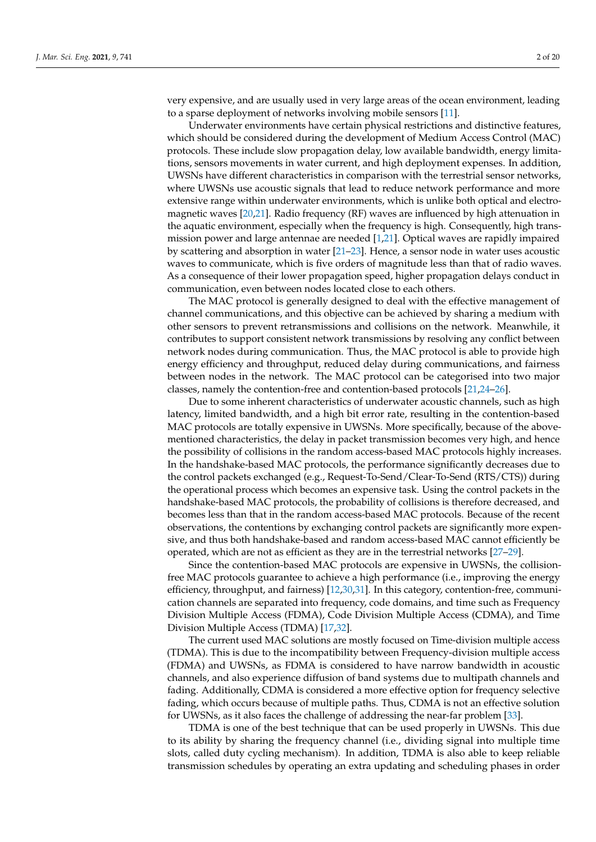very expensive, and are usually used in very large areas of the ocean environment, leading to a sparse deployment of networks involving mobile sensors [\[11\]](#page-16-1).

Underwater environments have certain physical restrictions and distinctive features, which should be considered during the development of Medium Access Control (MAC) protocols. These include slow propagation delay, low available bandwidth, energy limitations, sensors movements in water current, and high deployment expenses. In addition, UWSNs have different characteristics in comparison with the terrestrial sensor networks, where UWSNs use acoustic signals that lead to reduce network performance and more extensive range within underwater environments, which is unlike both optical and electromagnetic waves [\[20,](#page-16-7)[21\]](#page-16-8). Radio frequency (RF) waves are influenced by high attenuation in the aquatic environment, especially when the frequency is high. Consequently, high transmission power and large antennae are needed [\[1,](#page-15-0)[21\]](#page-16-8). Optical waves are rapidly impaired by scattering and absorption in water [\[21–](#page-16-8)[23\]](#page-16-9). Hence, a sensor node in water uses acoustic waves to communicate, which is five orders of magnitude less than that of radio waves. As a consequence of their lower propagation speed, higher propagation delays conduct in communication, even between nodes located close to each others.

The MAC protocol is generally designed to deal with the effective management of channel communications, and this objective can be achieved by sharing a medium with other sensors to prevent retransmissions and collisions on the network. Meanwhile, it contributes to support consistent network transmissions by resolving any conflict between network nodes during communication. Thus, the MAC protocol is able to provide high energy efficiency and throughput, reduced delay during communications, and fairness between nodes in the network. The MAC protocol can be categorised into two major classes, namely the contention-free and contention-based protocols [\[21,](#page-16-8)[24–](#page-16-10)[26\]](#page-16-11).

Due to some inherent characteristics of underwater acoustic channels, such as high latency, limited bandwidth, and a high bit error rate, resulting in the contention-based MAC protocols are totally expensive in UWSNs. More specifically, because of the abovementioned characteristics, the delay in packet transmission becomes very high, and hence the possibility of collisions in the random access-based MAC protocols highly increases. In the handshake-based MAC protocols, the performance significantly decreases due to the control packets exchanged (e.g., Request-To-Send/Clear-To-Send (RTS/CTS)) during the operational process which becomes an expensive task. Using the control packets in the handshake-based MAC protocols, the probability of collisions is therefore decreased, and becomes less than that in the random access-based MAC protocols. Because of the recent observations, the contentions by exchanging control packets are significantly more expensive, and thus both handshake-based and random access-based MAC cannot efficiently be operated, which are not as efficient as they are in the terrestrial networks [\[27–](#page-16-12)[29\]](#page-16-13).

Since the contention-based MAC protocols are expensive in UWSNs, the collisionfree MAC protocols guarantee to achieve a high performance (i.e., improving the energy efficiency, throughput, and fairness) [\[12](#page-16-14)[,30,](#page-16-15)[31\]](#page-16-16). In this category, contention-free, communication channels are separated into frequency, code domains, and time such as Frequency Division Multiple Access (FDMA), Code Division Multiple Access (CDMA), and Time Division Multiple Access (TDMA) [\[17,](#page-16-4)[32\]](#page-16-17).

The current used MAC solutions are mostly focused on Time-division multiple access (TDMA). This is due to the incompatibility between Frequency-division multiple access (FDMA) and UWSNs, as FDMA is considered to have narrow bandwidth in acoustic channels, and also experience diffusion of band systems due to multipath channels and fading. Additionally, CDMA is considered a more effective option for frequency selective fading, which occurs because of multiple paths. Thus, CDMA is not an effective solution for UWSNs, as it also faces the challenge of addressing the near-far problem [\[33\]](#page-16-18).

TDMA is one of the best technique that can be used properly in UWSNs. This due to its ability by sharing the frequency channel (i.e., dividing signal into multiple time slots, called duty cycling mechanism). In addition, TDMA is also able to keep reliable transmission schedules by operating an extra updating and scheduling phases in order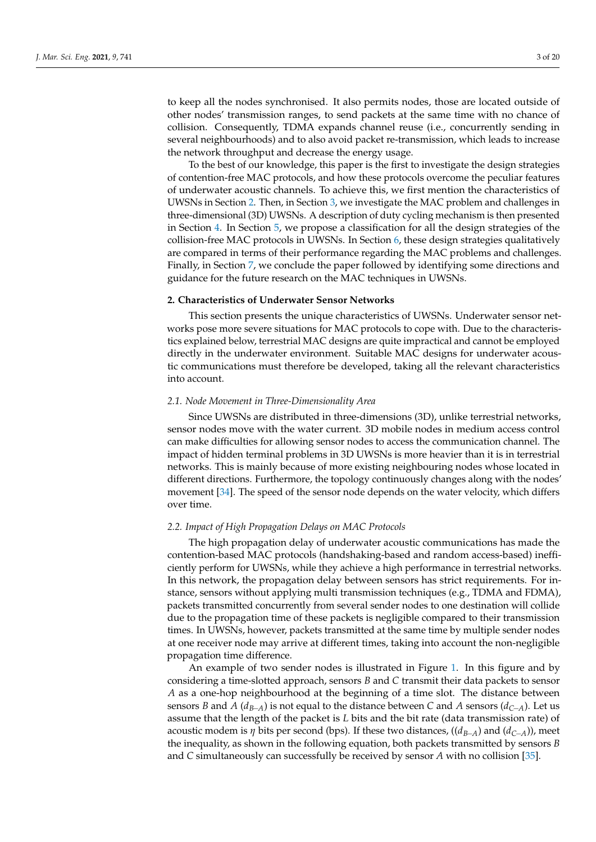to keep all the nodes synchronised. It also permits nodes, those are located outside of other nodes' transmission ranges, to send packets at the same time with no chance of collision. Consequently, TDMA expands channel reuse (i.e., concurrently sending in several neighbourhoods) and to also avoid packet re-transmission, which leads to increase the network throughput and decrease the energy usage.

To the best of our knowledge, this paper is the first to investigate the design strategies of contention-free MAC protocols, and how these protocols overcome the peculiar features of underwater acoustic channels. To achieve this, we first mention the characteristics of UWSNs in Section [2.](#page-2-0) Then, in Section [3,](#page-4-0) we investigate the MAC problem and challenges in three-dimensional (3D) UWSNs. A description of duty cycling mechanism is then presented in Section [4.](#page-7-0) In Section [5,](#page-7-1) we propose a classification for all the design strategies of the collision-free MAC protocols in UWSNs. In Section [6,](#page-11-0) these design strategies qualitatively are compared in terms of their performance regarding the MAC problems and challenges. Finally, in Section [7,](#page-14-0) we conclude the paper followed by identifying some directions and guidance for the future research on the MAC techniques in UWSNs.

#### <span id="page-2-0"></span>**2. Characteristics of Underwater Sensor Networks**

This section presents the unique characteristics of UWSNs. Underwater sensor networks pose more severe situations for MAC protocols to cope with. Due to the characteristics explained below, terrestrial MAC designs are quite impractical and cannot be employed directly in the underwater environment. Suitable MAC designs for underwater acoustic communications must therefore be developed, taking all the relevant characteristics into account.

## *2.1. Node Movement in Three-Dimensionality Area*

Since UWSNs are distributed in three-dimensions (3D), unlike terrestrial networks, sensor nodes move with the water current. 3D mobile nodes in medium access control can make difficulties for allowing sensor nodes to access the communication channel. The impact of hidden terminal problems in 3D UWSNs is more heavier than it is in terrestrial networks. This is mainly because of more existing neighbouring nodes whose located in different directions. Furthermore, the topology continuously changes along with the nodes' movement [\[34\]](#page-17-0). The speed of the sensor node depends on the water velocity, which differs over time.

#### *2.2. Impact of High Propagation Delays on MAC Protocols*

The high propagation delay of underwater acoustic communications has made the contention-based MAC protocols (handshaking-based and random access-based) inefficiently perform for UWSNs, while they achieve a high performance in terrestrial networks. In this network, the propagation delay between sensors has strict requirements. For instance, sensors without applying multi transmission techniques (e.g., TDMA and FDMA), packets transmitted concurrently from several sender nodes to one destination will collide due to the propagation time of these packets is negligible compared to their transmission times. In UWSNs, however, packets transmitted at the same time by multiple sender nodes at one receiver node may arrive at different times, taking into account the non-negligible propagation time difference.

An example of two sender nodes is illustrated in Figure [1.](#page-3-0) In this figure and by considering a time-slotted approach, sensors *B* and *C* transmit their data packets to sensor *A* as a one-hop neighbourhood at the beginning of a time slot. The distance between sensors *B* and *A* ( $d_{B-A}$ ) is not equal to the distance between *C* and *A* sensors ( $d_{C-A}$ ). Let us assume that the length of the packet is *L* bits and the bit rate (data transmission rate) of acoustic modem is *η* bits per second (bps). If these two distances, ((*dB*−*A*) and (*dC*−*A*)), meet the inequality, as shown in the following equation, both packets transmitted by sensors *B* and *C* simultaneously can successfully be received by sensor *A* with no collision [\[35\]](#page-17-1).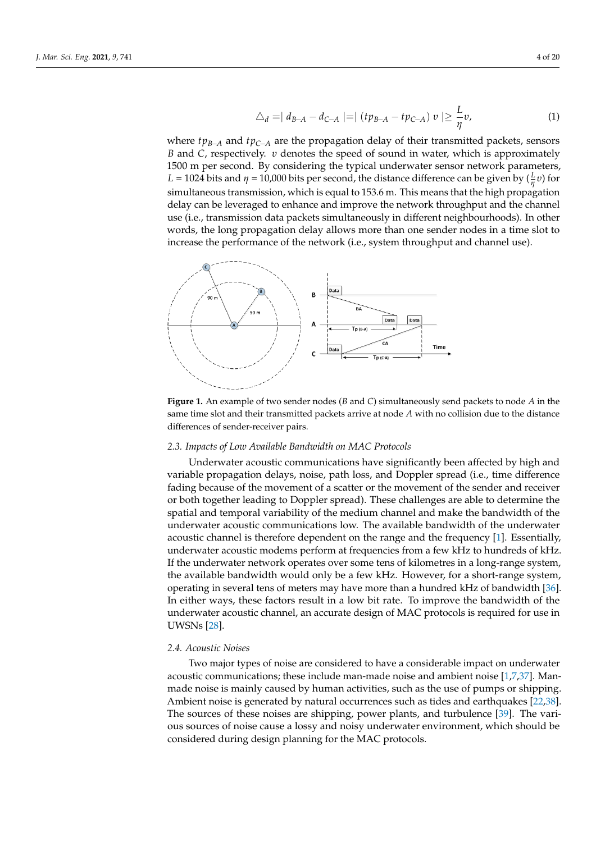$$
\triangle_d = | d_{B-A} - d_{C-A} | = | (tp_{B-A} - tp_{C-A}) v | \geq \frac{L}{\eta} v,
$$
\n(1)

where *tpB*−*<sup>A</sup>* and *tpC*−*<sup>A</sup>* are the propagation delay of their transmitted packets, sensors *B* and *C*, respectively. *υ* denotes the speed of sound in water, which is approximately 1500 m per second. By considering the typical underwater sensor network parameters, *L* = 1024 bits and *η* = 10,000 bits per second, the distance difference can be given by  $(\frac{L}{\eta}v)$  for simultaneous transmission, which is equal to 153.6 m. This means that the high propagation delay can be leveraged to enhance and improve the network throughput and the channel use (i.e., transmission data packets simultaneously in different neighbourhoods). In other words, the long propagation delay allows more than one sender nodes in a time slot to increase the performance of the network (i.e., system throughput and channel use).

<span id="page-3-0"></span>

**Figure 1.** An example of two sender nodes (*B* and *C*) simultaneously send packets to node *A* in the same time slot and their transmitted packets arrive at node *A* with no collision due to the distance differences of sender-receiver pairs.

#### *2.3. Impacts of Low Available Bandwidth on MAC Protocols*

Underwater acoustic communications have significantly been affected by high and variable propagation delays, noise, path loss, and Doppler spread (i.e., time difference fading because of the movement of a scatter or the movement of the sender and receiver or both together leading to Doppler spread). These challenges are able to determine the spatial and temporal variability of the medium channel and make the bandwidth of the underwater acoustic communications low. The available bandwidth of the underwater acoustic channel is therefore dependent on the range and the frequency [\[1\]](#page-15-0). Essentially, underwater acoustic modems perform at frequencies from a few kHz to hundreds of kHz. If the underwater network operates over some tens of kilometres in a long-range system, the available bandwidth would only be a few kHz. However, for a short-range system, operating in several tens of meters may have more than a hundred kHz of bandwidth [\[36\]](#page-17-2). In either ways, these factors result in a low bit rate. To improve the bandwidth of the underwater acoustic channel, an accurate design of MAC protocols is required for use in UWSNs [\[28\]](#page-16-19).

#### *2.4. Acoustic Noises*

Two major types of noise are considered to have a considerable impact on underwater acoustic communications; these include man-made noise and ambient noise [\[1](#page-15-0)[,7](#page-15-2)[,37\]](#page-17-3). Manmade noise is mainly caused by human activities, such as the use of pumps or shipping. Ambient noise is generated by natural occurrences such as tides and earthquakes [\[22,](#page-16-20)[38\]](#page-17-4). The sources of these noises are shipping, power plants, and turbulence [\[39\]](#page-17-5). The various sources of noise cause a lossy and noisy underwater environment, which should be considered during design planning for the MAC protocols.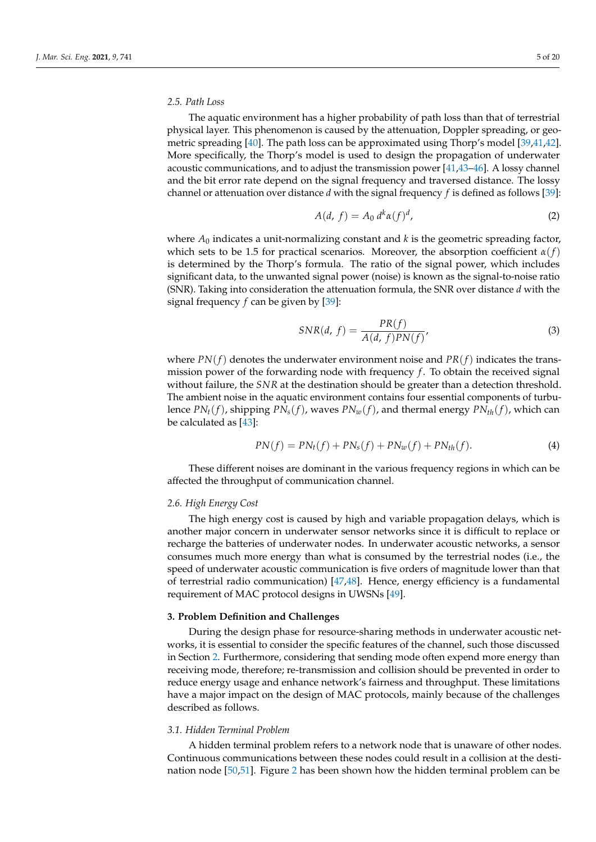## *2.5. Path Loss*

The aquatic environment has a higher probability of path loss than that of terrestrial physical layer. This phenomenon is caused by the attenuation, Doppler spreading, or geometric spreading [\[40\]](#page-17-6). The path loss can be approximated using Thorp's model [\[39](#page-17-5)[,41](#page-17-7)[,42\]](#page-17-8). More specifically, the Thorp's model is used to design the propagation of underwater acoustic communications, and to adjust the transmission power  $[41,43-46]$  $[41,43-46]$  $[41,43-46]$ . A lossy channel and the bit error rate depend on the signal frequency and traversed distance. The lossy channel or attenuation over distance *d* with the signal frequency *f* is defined as follows [\[39\]](#page-17-5):

$$
A(d, f) = A_0 d^k \alpha(f)^d,
$$
\n(2)

where  $A_0$  indicates a unit-normalizing constant and  $k$  is the geometric spreading factor, which sets to be 1.5 for practical scenarios. Moreover, the absorption coefficient  $\alpha(f)$ is determined by the Thorp's formula. The ratio of the signal power, which includes significant data, to the unwanted signal power (noise) is known as the signal-to-noise ratio (SNR). Taking into consideration the attenuation formula, the SNR over distance *d* with the signal frequency *f* can be given by [\[39\]](#page-17-5):

$$
SNR(d, f) = \frac{PR(f)}{A(d, f)PN(f)},
$$
\n(3)

where  $PN(f)$  denotes the underwater environment noise and  $PR(f)$  indicates the transmission power of the forwarding node with frequency *f* . To obtain the received signal without failure, the *SNR* at the destination should be greater than a detection threshold. The ambient noise in the aquatic environment contains four essential components of turbulence  $PN_t(f)$ , shipping  $PN_s(f)$ , waves  $PN_w(f)$ , and thermal energy  $PN_{th}(f)$ , which can be calculated as [\[43\]](#page-17-9):

$$
PN(f) = PN_t(f) + PN_s(f) + PN_w(f) + PN_{th}(f).
$$
\n(4)

These different noises are dominant in the various frequency regions in which can be affected the throughput of communication channel.

#### *2.6. High Energy Cost*

The high energy cost is caused by high and variable propagation delays, which is another major concern in underwater sensor networks since it is difficult to replace or recharge the batteries of underwater nodes. In underwater acoustic networks, a sensor consumes much more energy than what is consumed by the terrestrial nodes (i.e., the speed of underwater acoustic communication is five orders of magnitude lower than that of terrestrial radio communication) [\[47](#page-17-11)[,48\]](#page-17-12). Hence, energy efficiency is a fundamental requirement of MAC protocol designs in UWSNs [\[49\]](#page-17-13).

## <span id="page-4-0"></span>**3. Problem Definition and Challenges**

During the design phase for resource-sharing methods in underwater acoustic networks, it is essential to consider the specific features of the channel, such those discussed in Section [2.](#page-2-0) Furthermore, considering that sending mode often expend more energy than receiving mode, therefore; re-transmission and collision should be prevented in order to reduce energy usage and enhance network's fairness and throughput. These limitations have a major impact on the design of MAC protocols, mainly because of the challenges described as follows.

## *3.1. Hidden Terminal Problem*

A hidden terminal problem refers to a network node that is unaware of other nodes. Continuous communications between these nodes could result in a collision at the destination node [\[50](#page-17-14)[,51\]](#page-17-15). Figure [2](#page-5-0) has been shown how the hidden terminal problem can be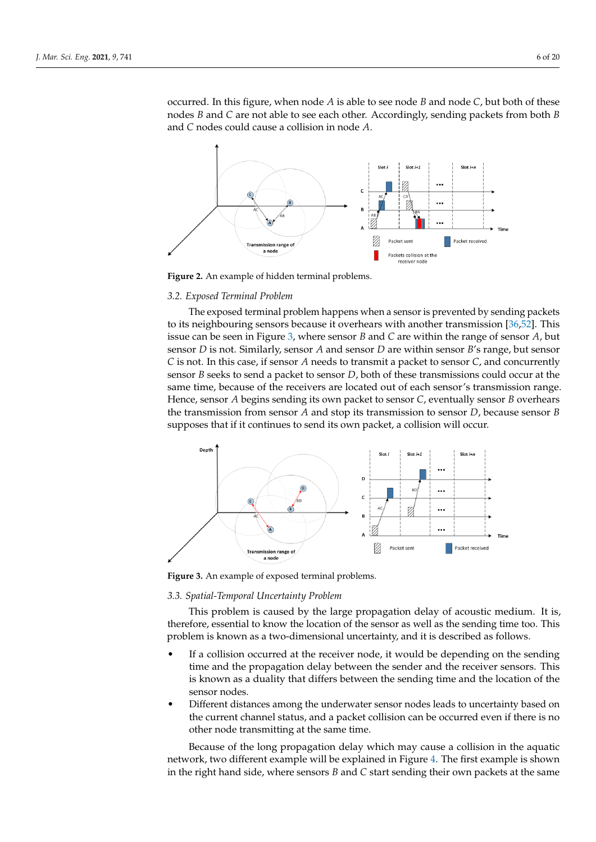occurred. In this figure, when node *A* is able to see node *B* and node *C*, but both of these nodes *B* and *C* are not able to see each other. Accordingly, sending packets from both *B* and *C* nodes could cause a collision in node *A*.

<span id="page-5-0"></span>

**Figure 2.** An example of hidden terminal problems.

#### *3.2. Exposed Terminal Problem*

The exposed terminal problem happens when a sensor is prevented by sending packets to its neighbouring sensors because it overhears with another transmission [\[36](#page-17-2)[,52\]](#page-17-16). This issue can be seen in Figure [3,](#page-5-1) where sensor *B* and *C* are within the range of sensor *A*, but sensor *D* is not. Similarly, sensor *A* and sensor *D* are within sensor *B*'s range, but sensor *C* is not. In this case, if sensor *A* needs to transmit a packet to sensor *C*, and concurrently sensor *B* seeks to send a packet to sensor *D*, both of these transmissions could occur at the same time, because of the receivers are located out of each sensor's transmission range. Hence, sensor *A* begins sending its own packet to sensor *C*, eventually sensor *B* overhears the transmission from sensor *A* and stop its transmission to sensor *D*, because sensor *B* supposes that if it continues to send its own packet, a collision will occur.

<span id="page-5-1"></span>

**Figure 3.** An example of exposed terminal problems.

## *3.3. Spatial-Temporal Uncertainty Problem*

This problem is caused by the large propagation delay of acoustic medium. It is, therefore, essential to know the location of the sensor as well as the sending time too. This problem is known as a two-dimensional uncertainty, and it is described as follows.

- If a collision occurred at the receiver node, it would be depending on the sending time and the propagation delay between the sender and the receiver sensors. This is known as a duality that differs between the sending time and the location of the sensor nodes.
- Different distances among the underwater sensor nodes leads to uncertainty based on the current channel status, and a packet collision can be occurred even if there is no other node transmitting at the same time.

Because of the long propagation delay which may cause a collision in the aquatic network, two different example will be explained in Figure [4.](#page-6-0) The first example is shown in the right hand side, where sensors *B* and *C* start sending their own packets at the same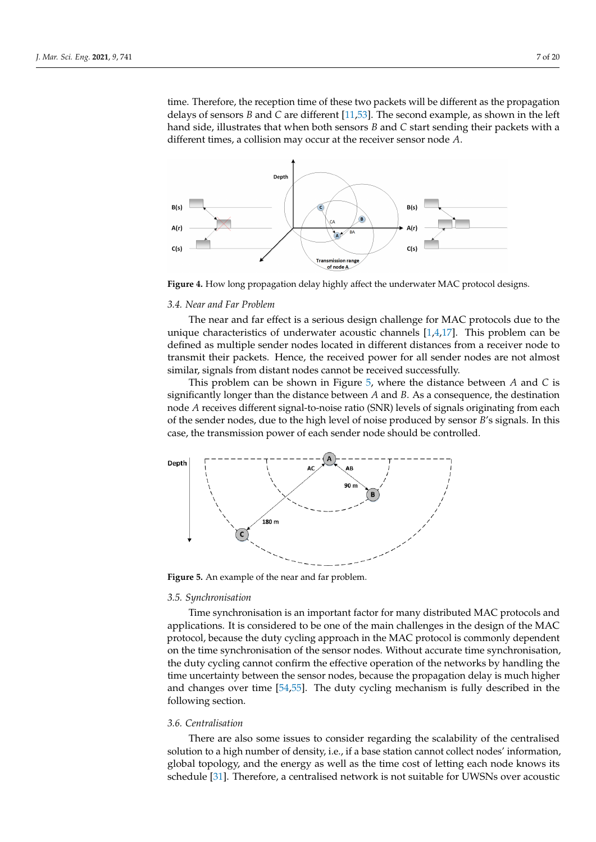time. Therefore, the reception time of these two packets will be different as the propagation delays of sensors *B* and *C* are different [\[11,](#page-16-1)[53\]](#page-17-17). The second example, as shown in the left hand side, illustrates that when both sensors *B* and *C* start sending their packets with a different times, a collision may occur at the receiver sensor node *A*.

<span id="page-6-0"></span>

**Figure 4.** How long propagation delay highly affect the underwater MAC protocol designs.

#### *3.4. Near and Far Problem*

The near and far effect is a serious design challenge for MAC protocols due to the unique characteristics of underwater acoustic channels [\[1,](#page-15-0)[4,](#page-15-3)[17\]](#page-16-4). This problem can be defined as multiple sender nodes located in different distances from a receiver node to transmit their packets. Hence, the received power for all sender nodes are not almost similar, signals from distant nodes cannot be received successfully.

This problem can be shown in Figure [5,](#page-6-1) where the distance between *A* and *C* is significantly longer than the distance between *A* and *B*. As a consequence, the destination node *A* receives different signal-to-noise ratio (SNR) levels of signals originating from each of the sender nodes, due to the high level of noise produced by sensor *B*'s signals. In this case, the transmission power of each sender node should be controlled.

<span id="page-6-1"></span>

**Figure 5.** An example of the near and far problem.

## *3.5. Synchronisation*

Time synchronisation is an important factor for many distributed MAC protocols and applications. It is considered to be one of the main challenges in the design of the MAC protocol, because the duty cycling approach in the MAC protocol is commonly dependent on the time synchronisation of the sensor nodes. Without accurate time synchronisation, the duty cycling cannot confirm the effective operation of the networks by handling the time uncertainty between the sensor nodes, because the propagation delay is much higher and changes over time [\[54](#page-17-18)[,55\]](#page-17-19). The duty cycling mechanism is fully described in the following section.

#### *3.6. Centralisation*

There are also some issues to consider regarding the scalability of the centralised solution to a high number of density, i.e., if a base station cannot collect nodes' information, global topology, and the energy as well as the time cost of letting each node knows its schedule [\[31\]](#page-16-16). Therefore, a centralised network is not suitable for UWSNs over acoustic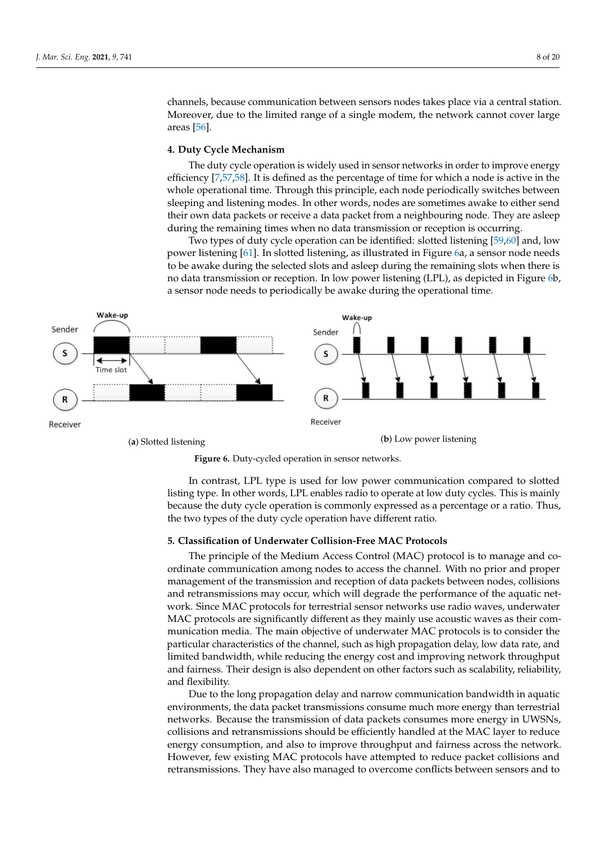channels, because communication between sensors nodes takes place via a central station. Moreover, due to the limited range of a single modem, the network cannot cover large areas [\[56\]](#page-17-20).

## <span id="page-7-0"></span>**4. Duty Cycle Mechanism**

The duty cycle operation is widely used in sensor networks in order to improve energy efficiency [\[7,](#page-15-2)[57,](#page-17-21)[58\]](#page-17-22). It is defined as the percentage of time for which a node is active in the whole operational time. Through this principle, each node periodically switches between sleeping and listening modes. In other words, nodes are sometimes awake to either send their own data packets or receive a data packet from a neighbouring node. They are asleep during the remaining times when no data transmission or reception is occurring.

Two types of duty cycle operation can be identified: slotted listening [\[59,](#page-17-23)[60\]](#page-17-24) and, low power listening [\[61\]](#page-18-0). In slotted listening, as illustrated in Figure [6a](#page-7-2), a sensor node needs to be awake during the selected slots and asleep during the remaining slots when there is no data transmission or reception. In low power listening (LPL), as depicted in Figure [6b](#page-7-2), a sensor node needs to periodically be awake during the operational time.

<span id="page-7-2"></span>



In contrast, LPL type is used for low power communication compared to slotted listing type. In other words, LPL enables radio to operate at low duty cycles. This is mainly because the duty cycle operation is commonly expressed as a percentage or a ratio. Thus, the two types of the duty cycle operation have different ratio.

## <span id="page-7-1"></span>**5. Classification of Underwater Collision-Free MAC Protocols**

The principle of the Medium Access Control (MAC) protocol is to manage and coordinate communication among nodes to access the channel. With no prior and proper management of the transmission and reception of data packets between nodes, collisions and retransmissions may occur, which will degrade the performance of the aquatic network. Since MAC protocols for terrestrial sensor networks use radio waves, underwater MAC protocols are significantly different as they mainly use acoustic waves as their communication media. The main objective of underwater MAC protocols is to consider the particular characteristics of the channel, such as high propagation delay, low data rate, and limited bandwidth, while reducing the energy cost and improving network throughput and fairness. Their design is also dependent on other factors such as scalability, reliability, and flexibility.

Due to the long propagation delay and narrow communication bandwidth in aquatic environments, the data packet transmissions consume much more energy than terrestrial networks. Because the transmission of data packets consumes more energy in UWSNs, collisions and retransmissions should be efficiently handled at the MAC layer to reduce energy consumption, and also to improve throughput and fairness across the network. However, few existing MAC protocols have attempted to reduce packet collisions and retransmissions. They have also managed to overcome conflicts between sensors and to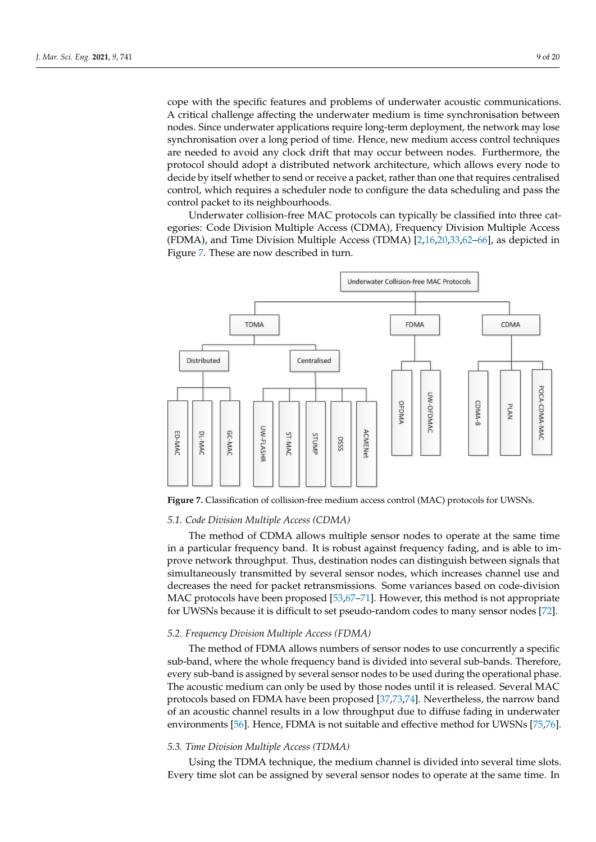cope with the specific features and problems of underwater acoustic communications. A critical challenge affecting the underwater medium is time synchronisation between nodes. Since underwater applications require long-term deployment, the network may lose synchronisation over a long period of time. Hence, new medium access control techniques are needed to avoid any clock drift that may occur between nodes. Furthermore, the protocol should adopt a distributed network architecture, which allows every node to decide by itself whether to send or receive a packet, rather than one that requires centralised control, which requires a scheduler node to configure the data scheduling and pass the control packet to its neighbourhoods.

Underwater collision-free MAC protocols can typically be classified into three categories: Code Division Multiple Access (CDMA), Frequency Division Multiple Access (FDMA), and Time Division Multiple Access (TDMA) [\[2,](#page-15-4)[16](#page-16-21)[,20,](#page-16-7)[33](#page-16-18)[,62](#page-18-1)[–66\]](#page-18-2), as depicted in Figure [7.](#page-8-0) These are now described in turn.

<span id="page-8-0"></span>

**Figure 7.** Classification of collision-free medium access control (MAC) protocols for UWSNs.

## *5.1. Code Division Multiple Access (CDMA)*

The method of CDMA allows multiple sensor nodes to operate at the same time in a particular frequency band. It is robust against frequency fading, and is able to improve network throughput. Thus, destination nodes can distinguish between signals that simultaneously transmitted by several sensor nodes, which increases channel use and decreases the need for packet retransmissions. Some variances based on code-division MAC protocols have been proposed [\[53,](#page-17-17)[67](#page-18-3)[–71\]](#page-18-4). However, this method is not appropriate for UWSNs because it is difficult to set pseudo-random codes to many sensor nodes [\[72\]](#page-18-5).

#### *5.2. Frequency Division Multiple Access (FDMA)*

The method of FDMA allows numbers of sensor nodes to use concurrently a specific sub-band, where the whole frequency band is divided into several sub-bands. Therefore, every sub-band is assigned by several sensor nodes to be used during the operational phase. The acoustic medium can only be used by those nodes until it is released. Several MAC protocols based on FDMA have been proposed [\[37,](#page-17-3)[73,](#page-18-6)[74\]](#page-18-7). Nevertheless, the narrow band of an acoustic channel results in a low throughput due to diffuse fading in underwater environments [\[56\]](#page-17-20). Hence, FDMA is not suitable and effective method for UWSNs [\[75,](#page-18-8)[76\]](#page-18-9).

#### *5.3. Time Division Multiple Access (TDMA)*

Using the TDMA technique, the medium channel is divided into several time slots. Every time slot can be assigned by several sensor nodes to operate at the same time. In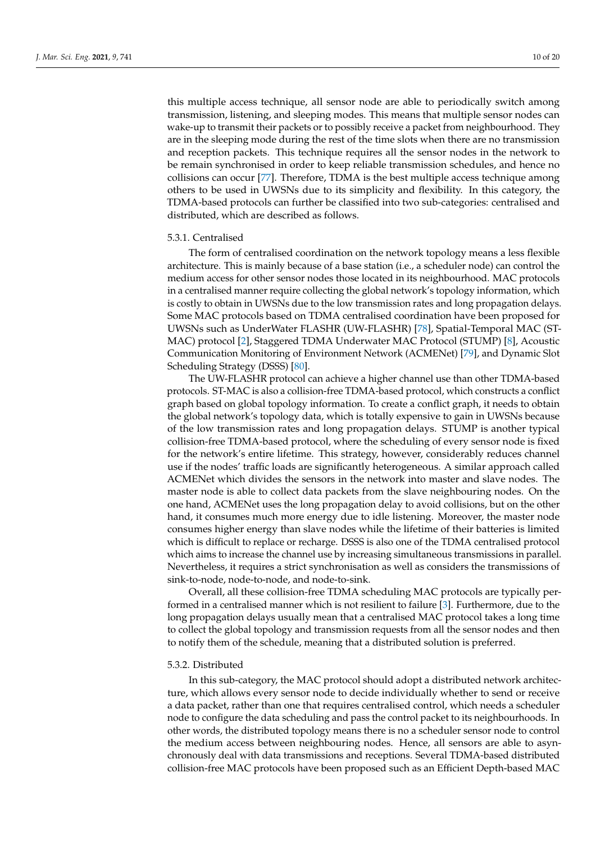this multiple access technique, all sensor node are able to periodically switch among transmission, listening, and sleeping modes. This means that multiple sensor nodes can wake-up to transmit their packets or to possibly receive a packet from neighbourhood. They are in the sleeping mode during the rest of the time slots when there are no transmission and reception packets. This technique requires all the sensor nodes in the network to be remain synchronised in order to keep reliable transmission schedules, and hence no collisions can occur [\[77\]](#page-18-10). Therefore, TDMA is the best multiple access technique among others to be used in UWSNs due to its simplicity and flexibility. In this category, the TDMA-based protocols can further be classified into two sub-categories: centralised and distributed, which are described as follows.

#### 5.3.1. Centralised

The form of centralised coordination on the network topology means a less flexible architecture. This is mainly because of a base station (i.e., a scheduler node) can control the medium access for other sensor nodes those located in its neighbourhood. MAC protocols in a centralised manner require collecting the global network's topology information, which is costly to obtain in UWSNs due to the low transmission rates and long propagation delays. Some MAC protocols based on TDMA centralised coordination have been proposed for UWSNs such as UnderWater FLASHR (UW-FLASHR) [\[78\]](#page-18-11), Spatial-Temporal MAC (ST-MAC) protocol [\[2\]](#page-15-4), Staggered TDMA Underwater MAC Protocol (STUMP) [\[8\]](#page-16-22), Acoustic Communication Monitoring of Environment Network (ACMENet) [\[79\]](#page-18-12), and Dynamic Slot Scheduling Strategy (DSSS) [\[80\]](#page-18-13).

The UW-FLASHR protocol can achieve a higher channel use than other TDMA-based protocols. ST-MAC is also a collision-free TDMA-based protocol, which constructs a conflict graph based on global topology information. To create a conflict graph, it needs to obtain the global network's topology data, which is totally expensive to gain in UWSNs because of the low transmission rates and long propagation delays. STUMP is another typical collision-free TDMA-based protocol, where the scheduling of every sensor node is fixed for the network's entire lifetime. This strategy, however, considerably reduces channel use if the nodes' traffic loads are significantly heterogeneous. A similar approach called ACMENet which divides the sensors in the network into master and slave nodes. The master node is able to collect data packets from the slave neighbouring nodes. On the one hand, ACMENet uses the long propagation delay to avoid collisions, but on the other hand, it consumes much more energy due to idle listening. Moreover, the master node consumes higher energy than slave nodes while the lifetime of their batteries is limited which is difficult to replace or recharge. DSSS is also one of the TDMA centralised protocol which aims to increase the channel use by increasing simultaneous transmissions in parallel. Nevertheless, it requires a strict synchronisation as well as considers the transmissions of sink-to-node, node-to-node, and node-to-sink.

Overall, all these collision-free TDMA scheduling MAC protocols are typically performed in a centralised manner which is not resilient to failure [\[3\]](#page-15-5). Furthermore, due to the long propagation delays usually mean that a centralised MAC protocol takes a long time to collect the global topology and transmission requests from all the sensor nodes and then to notify them of the schedule, meaning that a distributed solution is preferred.

## 5.3.2. Distributed

In this sub-category, the MAC protocol should adopt a distributed network architecture, which allows every sensor node to decide individually whether to send or receive a data packet, rather than one that requires centralised control, which needs a scheduler node to configure the data scheduling and pass the control packet to its neighbourhoods. In other words, the distributed topology means there is no a scheduler sensor node to control the medium access between neighbouring nodes. Hence, all sensors are able to asynchronously deal with data transmissions and receptions. Several TDMA-based distributed collision-free MAC protocols have been proposed such as an Efficient Depth-based MAC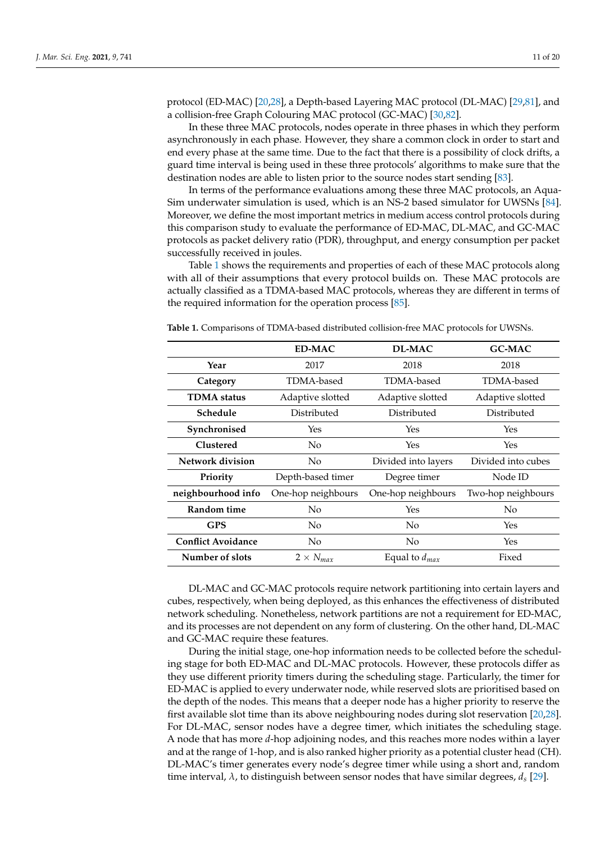protocol (ED-MAC) [\[20](#page-16-7)[,28\]](#page-16-19), a Depth-based Layering MAC protocol (DL-MAC) [\[29,](#page-16-13)[81\]](#page-18-14), and a collision-free Graph Colouring MAC protocol (GC-MAC) [\[30](#page-16-15)[,82\]](#page-18-15).

In these three MAC protocols, nodes operate in three phases in which they perform asynchronously in each phase. However, they share a common clock in order to start and end every phase at the same time. Due to the fact that there is a possibility of clock drifts, a guard time interval is being used in these three protocols' algorithms to make sure that the destination nodes are able to listen prior to the source nodes start sending [\[83\]](#page-18-16).

In terms of the performance evaluations among these three MAC protocols, an Aqua-Sim underwater simulation is used, which is an NS-2 based simulator for UWSNs [\[84\]](#page-18-17). Moreover, we define the most important metrics in medium access control protocols during this comparison study to evaluate the performance of ED-MAC, DL-MAC, and GC-MAC protocols as packet delivery ratio (PDR), throughput, and energy consumption per packet successfully received in joules.

Table [1](#page-10-0) shows the requirements and properties of each of these MAC protocols along with all of their assumptions that every protocol builds on. These MAC protocols are actually classified as a TDMA-based MAC protocols, whereas they are different in terms of the required information for the operation process [\[85\]](#page-19-0).

|                           | <b>ED-MAC</b>                     | <b>DL-MAC</b>      | <b>GC-MAC</b>      |
|---------------------------|-----------------------------------|--------------------|--------------------|
| Year                      | 2017                              | 2018               | 2018               |
| Category                  | TDMA-based                        | TDMA-based         | TDMA-based         |
| <b>TDMA</b> status        | Adaptive slotted                  | Adaptive slotted   | Adaptive slotted   |
| Schedule                  | Distributed                       | Distributed        | Distributed        |
| Synchronised              | Yes                               | Yes                | Yes                |
| <b>Clustered</b>          | No.                               | Yes                | Yes                |
| Network division          | No<br>Divided into layers         |                    | Divided into cubes |
| Priority                  | Depth-based timer<br>Degree timer |                    | Node ID            |
| neighbourhood info        | One-hop neighbours                | One-hop neighbours | Two-hop neighbours |
| Random time               | No.                               | Yes                | N <sub>o</sub>     |
| <b>GPS</b>                | No                                | No                 | Yes                |
| <b>Conflict Avoidance</b> | No                                | No                 | Yes                |
| Number of slots           | $2 \times N_{max}$                | Equal to $d_{max}$ | Fixed              |

<span id="page-10-0"></span>**Table 1.** Comparisons of TDMA-based distributed collision-free MAC protocols for UWSNs.

DL-MAC and GC-MAC protocols require network partitioning into certain layers and cubes, respectively, when being deployed, as this enhances the effectiveness of distributed network scheduling. Nonetheless, network partitions are not a requirement for ED-MAC, and its processes are not dependent on any form of clustering. On the other hand, DL-MAC and GC-MAC require these features.

During the initial stage, one-hop information needs to be collected before the scheduling stage for both ED-MAC and DL-MAC protocols. However, these protocols differ as they use different priority timers during the scheduling stage. Particularly, the timer for ED-MAC is applied to every underwater node, while reserved slots are prioritised based on the depth of the nodes. This means that a deeper node has a higher priority to reserve the first available slot time than its above neighbouring nodes during slot reservation [\[20,](#page-16-7)[28\]](#page-16-19). For DL-MAC, sensor nodes have a degree timer, which initiates the scheduling stage. A node that has more *d*-hop adjoining nodes, and this reaches more nodes within a layer and at the range of 1-hop, and is also ranked higher priority as a potential cluster head (CH). DL-MAC's timer generates every node's degree timer while using a short and, random time interval, *λ*, to distinguish between sensor nodes that have similar degrees, *d<sup>s</sup>* [\[29\]](#page-16-13).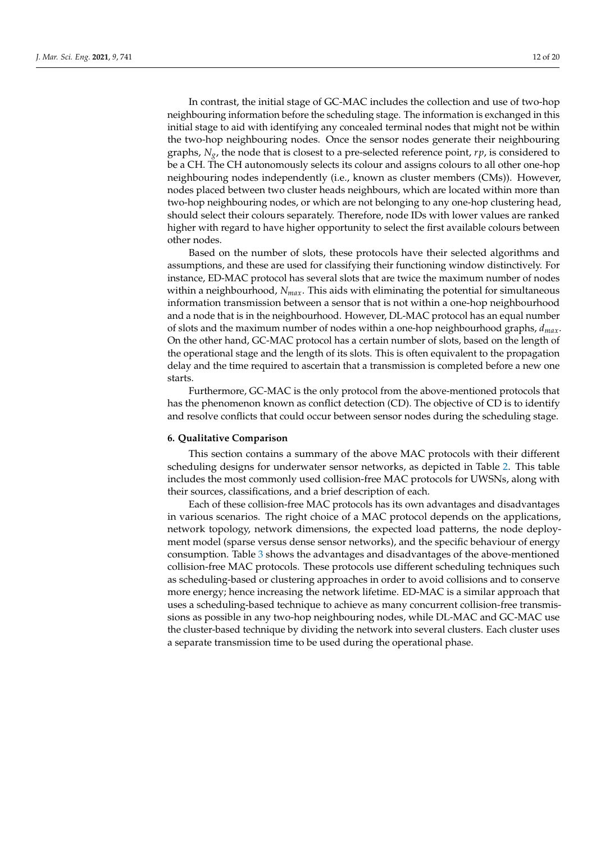In contrast, the initial stage of GC-MAC includes the collection and use of two-hop neighbouring information before the scheduling stage. The information is exchanged in this initial stage to aid with identifying any concealed terminal nodes that might not be within the two-hop neighbouring nodes. Once the sensor nodes generate their neighbouring graphs, *Ng*, the node that is closest to a pre-selected reference point, *rp*, is considered to be a CH. The CH autonomously selects its colour and assigns colours to all other one-hop neighbouring nodes independently (i.e., known as cluster members (CMs)). However, nodes placed between two cluster heads neighbours, which are located within more than two-hop neighbouring nodes, or which are not belonging to any one-hop clustering head, should select their colours separately. Therefore, node IDs with lower values are ranked higher with regard to have higher opportunity to select the first available colours between

Based on the number of slots, these protocols have their selected algorithms and assumptions, and these are used for classifying their functioning window distinctively. For instance, ED-MAC protocol has several slots that are twice the maximum number of nodes within a neighbourhood, *Nmax*. This aids with eliminating the potential for simultaneous information transmission between a sensor that is not within a one-hop neighbourhood and a node that is in the neighbourhood. However, DL-MAC protocol has an equal number of slots and the maximum number of nodes within a one-hop neighbourhood graphs, *dmax*. On the other hand, GC-MAC protocol has a certain number of slots, based on the length of the operational stage and the length of its slots. This is often equivalent to the propagation delay and the time required to ascertain that a transmission is completed before a new one starts.

Furthermore, GC-MAC is the only protocol from the above-mentioned protocols that has the phenomenon known as conflict detection (CD). The objective of CD is to identify and resolve conflicts that could occur between sensor nodes during the scheduling stage.

#### <span id="page-11-0"></span>**6. Qualitative Comparison**

other nodes.

This section contains a summary of the above MAC protocols with their different scheduling designs for underwater sensor networks, as depicted in Table [2.](#page-13-0) This table includes the most commonly used collision-free MAC protocols for UWSNs, along with their sources, classifications, and a brief description of each.

Each of these collision-free MAC protocols has its own advantages and disadvantages in various scenarios. The right choice of a MAC protocol depends on the applications, network topology, network dimensions, the expected load patterns, the node deployment model (sparse versus dense sensor networks), and the specific behaviour of energy consumption. Table [3](#page-14-1) shows the advantages and disadvantages of the above-mentioned collision-free MAC protocols. These protocols use different scheduling techniques such as scheduling-based or clustering approaches in order to avoid collisions and to conserve more energy; hence increasing the network lifetime. ED-MAC is a similar approach that uses a scheduling-based technique to achieve as many concurrent collision-free transmissions as possible in any two-hop neighbouring nodes, while DL-MAC and GC-MAC use the cluster-based technique by dividing the network into several clusters. Each cluster uses a separate transmission time to be used during the operational phase.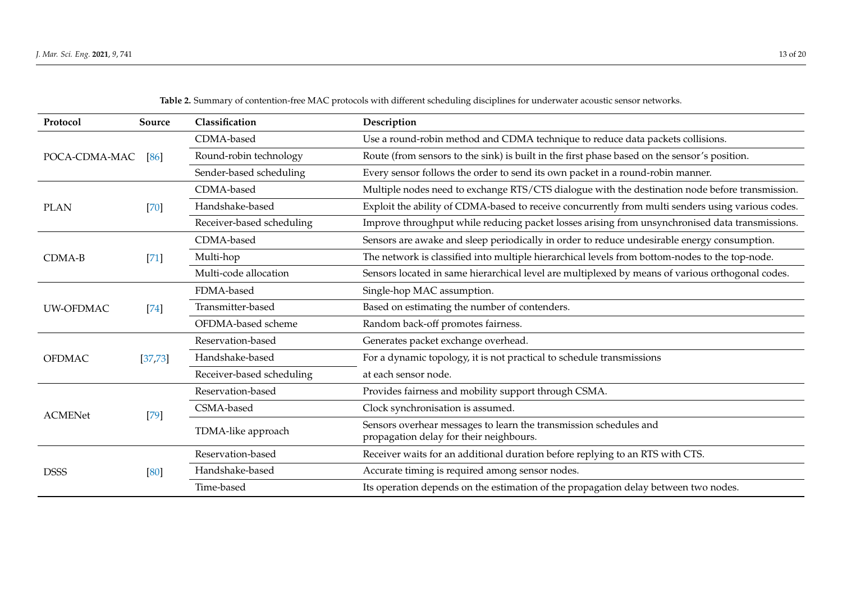| Source                | Classification            | Description                                                                                                  |
|-----------------------|---------------------------|--------------------------------------------------------------------------------------------------------------|
|                       | CDMA-based                | Use a round-robin method and CDMA technique to reduce data packets collisions.                               |
| POCA-CDMA-MAC<br>[86] | Round-robin technology    | Route (from sensors to the sink) is built in the first phase based on the sensor's position.                 |
|                       | Sender-based scheduling   | Every sensor follows the order to send its own packet in a round-robin manner.                               |
|                       | CDMA-based                | Multiple nodes need to exchange RTS/CTS dialogue with the destination node before transmission.              |
| $[70]$                | Handshake-based           | Exploit the ability of CDMA-based to receive concurrently from multi senders using various codes.            |
|                       | Receiver-based scheduling | Improve throughput while reducing packet losses arising from unsynchronised data transmissions.              |
|                       | CDMA-based                | Sensors are awake and sleep periodically in order to reduce undesirable energy consumption.                  |
| $[71]$                | Multi-hop                 | The network is classified into multiple hierarchical levels from bottom-nodes to the top-node.               |
|                       | Multi-code allocation     | Sensors located in same hierarchical level are multiplexed by means of various orthogonal codes.             |
| $[74]$                | FDMA-based                | Single-hop MAC assumption.                                                                                   |
|                       | Transmitter-based         | Based on estimating the number of contenders.                                                                |
|                       | OFDMA-based scheme        | Random back-off promotes fairness.                                                                           |
| [37, 73]              | Reservation-based         | Generates packet exchange overhead.                                                                          |
|                       | Handshake-based           | For a dynamic topology, it is not practical to schedule transmissions                                        |
|                       | Receiver-based scheduling | at each sensor node.                                                                                         |
| $[79]$                | Reservation-based         | Provides fairness and mobility support through CSMA.                                                         |
|                       | CSMA-based                | Clock synchronisation is assumed.                                                                            |
|                       | TDMA-like approach        | Sensors overhear messages to learn the transmission schedules and<br>propagation delay for their neighbours. |
| [80]                  | Reservation-based         | Receiver waits for an additional duration before replying to an RTS with CTS.                                |
|                       | Handshake-based           | Accurate timing is required among sensor nodes.                                                              |
|                       | Time-based                | Its operation depends on the estimation of the propagation delay between two nodes.                          |
|                       |                           |                                                                                                              |

**Table 2.** Summary of contention-free MAC protocols with different scheduling disciplines for underwater acoustic sensor networks.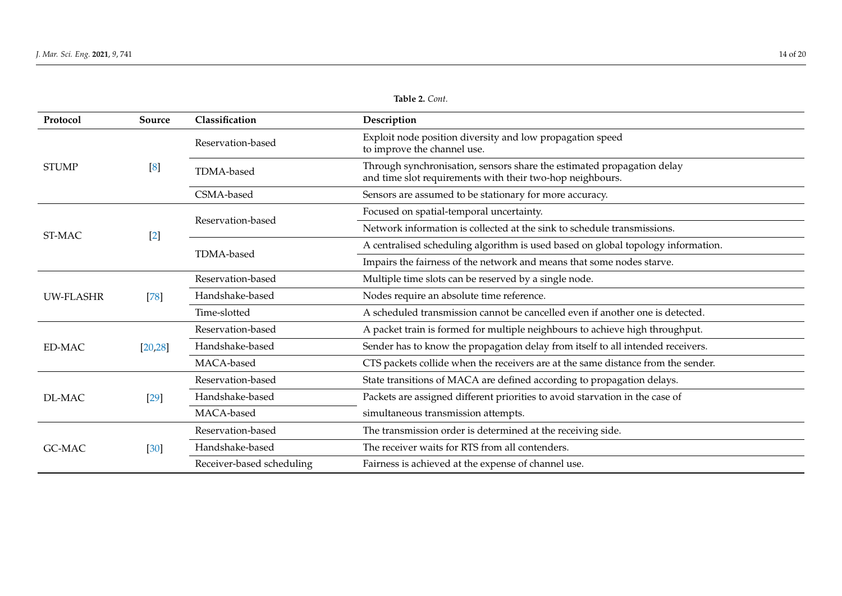<span id="page-13-0"></span>

| Protocol            | Source            | Classification                                                         | Description                                                                                                                         |
|---------------------|-------------------|------------------------------------------------------------------------|-------------------------------------------------------------------------------------------------------------------------------------|
| <b>STUMP</b>        |                   | Reservation-based                                                      | Exploit node position diversity and low propagation speed<br>to improve the channel use.                                            |
|                     | $\lceil 8 \rceil$ | TDMA-based                                                             | Through synchronisation, sensors share the estimated propagation delay<br>and time slot requirements with their two-hop neighbours. |
|                     |                   | CSMA-based                                                             | Sensors are assumed to be stationary for more accuracy.                                                                             |
| ST-MAC<br>$[2]$     |                   |                                                                        | Focused on spatial-temporal uncertainty.                                                                                            |
|                     |                   | Reservation-based                                                      | Network information is collected at the sink to schedule transmissions.                                                             |
|                     |                   |                                                                        | A centralised scheduling algorithm is used based on global topology information.                                                    |
|                     | TDMA-based        | Impairs the fairness of the network and means that some nodes starve.  |                                                                                                                                     |
| UW-FLASHR<br>$[78]$ | Reservation-based | Multiple time slots can be reserved by a single node.                  |                                                                                                                                     |
|                     | Handshake-based   | Nodes require an absolute time reference.                              |                                                                                                                                     |
|                     |                   | Time-slotted                                                           | A scheduled transmission cannot be cancelled even if another one is detected.                                                       |
| ED-MAC              |                   | Reservation-based                                                      | A packet train is formed for multiple neighbours to achieve high throughput.                                                        |
|                     | [20, 28]          | Handshake-based                                                        | Sender has to know the propagation delay from itself to all intended receivers.                                                     |
|                     |                   | MACA-based                                                             | CTS packets collide when the receivers are at the same distance from the sender.                                                    |
| DL-MAC<br>[29]      | Reservation-based | State transitions of MACA are defined according to propagation delays. |                                                                                                                                     |
|                     |                   | Handshake-based                                                        | Packets are assigned different priorities to avoid starvation in the case of                                                        |
|                     |                   | MACA-based                                                             | simultaneous transmission attempts.                                                                                                 |
| GC-MAC              |                   | Reservation-based                                                      | The transmission order is determined at the receiving side.                                                                         |
|                     | $[30]$            | Handshake-based                                                        | The receiver waits for RTS from all contenders.                                                                                     |
|                     |                   | Receiver-based scheduling                                              | Fairness is achieved at the expense of channel use.                                                                                 |

**Table 2.** *Cont.*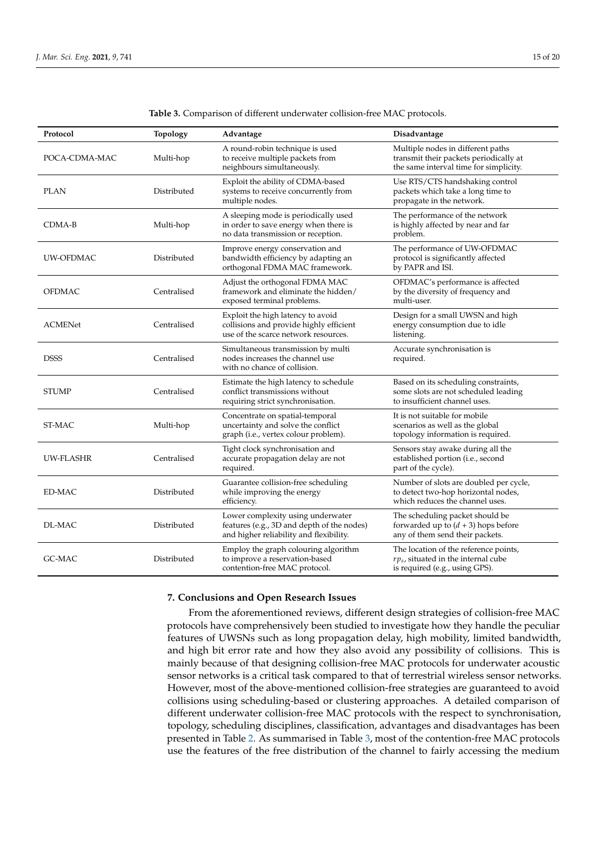<span id="page-14-1"></span>

| Protocol         | <b>Topology</b> | Advantage                                                                                                                  | Disadvantage                                                                                                          |
|------------------|-----------------|----------------------------------------------------------------------------------------------------------------------------|-----------------------------------------------------------------------------------------------------------------------|
| POCA-CDMA-MAC    | Multi-hop       | A round-robin technique is used<br>to receive multiple packets from<br>neighbours simultaneously.                          | Multiple nodes in different paths<br>transmit their packets periodically at<br>the same interval time for simplicity. |
| <b>PLAN</b>      | Distributed     | Exploit the ability of CDMA-based<br>systems to receive concurrently from<br>multiple nodes.                               | Use RTS/CTS handshaking control<br>packets which take a long time to<br>propagate in the network.                     |
| CDMA-B           | Multi-hop       | A sleeping mode is periodically used<br>in order to save energy when there is<br>no data transmission or reception.        | The performance of the network<br>is highly affected by near and far<br>problem.                                      |
| UW-OFDMAC        | Distributed     | Improve energy conservation and<br>bandwidth efficiency by adapting an<br>orthogonal FDMA MAC framework.                   | The performance of UW-OFDMAC<br>protocol is significantly affected<br>by PAPR and ISI.                                |
| <b>OFDMAC</b>    | Centralised     | Adjust the orthogonal FDMA MAC<br>framework and eliminate the hidden/<br>exposed terminal problems.                        | OFDMAC's performance is affected<br>by the diversity of frequency and<br>multi-user.                                  |
| <b>ACMENet</b>   | Centralised     | Exploit the high latency to avoid<br>collisions and provide highly efficient<br>use of the scarce network resources.       | Design for a small UWSN and high<br>energy consumption due to idle<br>listening.                                      |
| <b>DSSS</b>      | Centralised     | Simultaneous transmission by multi<br>nodes increases the channel use<br>with no chance of collision.                      | Accurate synchronisation is<br>required.                                                                              |
| <b>STUMP</b>     | Centralised     | Estimate the high latency to schedule<br>conflict transmissions without<br>requiring strict synchronisation.               | Based on its scheduling constraints,<br>some slots are not scheduled leading<br>to insufficient channel uses.         |
| ST-MAC           | Multi-hop       | Concentrate on spatial-temporal<br>uncertainty and solve the conflict<br>graph (i.e., vertex colour problem).              | It is not suitable for mobile<br>scenarios as well as the global<br>topology information is required.                 |
| <b>UW-FLASHR</b> | Centralised     | Tight clock synchronisation and<br>accurate propagation delay are not<br>required.                                         | Sensors stay awake during all the<br>established portion (i.e., second<br>part of the cycle).                         |
| ED-MAC           | Distributed     | Guarantee collision-free scheduling<br>while improving the energy<br>efficiency.                                           | Number of slots are doubled per cycle,<br>to detect two-hop horizontal nodes,<br>which reduces the channel uses.      |
| DL-MAC           | Distributed     | Lower complexity using underwater<br>features (e.g., 3D and depth of the nodes)<br>and higher reliability and flexibility. | The scheduling packet should be<br>forwarded up to $(d + 3)$ hops before<br>any of them send their packets.           |
| GC-MAC           | Distributed     | Employ the graph colouring algorithm<br>to improve a reservation-based<br>contention-free MAC protocol.                    | The location of the reference points,<br>$rp_s$ , situated in the internal cube<br>is required (e.g., using GPS).     |

**Table 3.** Comparison of different underwater collision-free MAC protocols.

## <span id="page-14-0"></span>**7. Conclusions and Open Research Issues**

From the aforementioned reviews, different design strategies of collision-free MAC protocols have comprehensively been studied to investigate how they handle the peculiar features of UWSNs such as long propagation delay, high mobility, limited bandwidth, and high bit error rate and how they also avoid any possibility of collisions. This is mainly because of that designing collision-free MAC protocols for underwater acoustic sensor networks is a critical task compared to that of terrestrial wireless sensor networks. However, most of the above-mentioned collision-free strategies are guaranteed to avoid collisions using scheduling-based or clustering approaches. A detailed comparison of different underwater collision-free MAC protocols with the respect to synchronisation, topology, scheduling disciplines, classification, advantages and disadvantages has been presented in Table [2.](#page-13-0) As summarised in Table [3,](#page-14-1) most of the contention-free MAC protocols use the features of the free distribution of the channel to fairly accessing the medium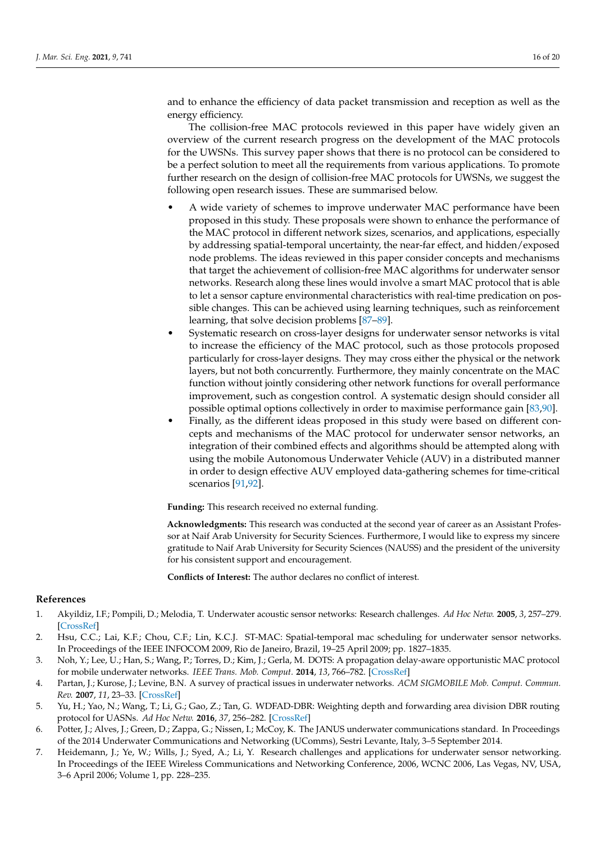and to enhance the efficiency of data packet transmission and reception as well as the energy efficiency.

The collision-free MAC protocols reviewed in this paper have widely given an overview of the current research progress on the development of the MAC protocols for the UWSNs. This survey paper shows that there is no protocol can be considered to be a perfect solution to meet all the requirements from various applications. To promote further research on the design of collision-free MAC protocols for UWSNs, we suggest the following open research issues. These are summarised below.

- A wide variety of schemes to improve underwater MAC performance have been proposed in this study. These proposals were shown to enhance the performance of the MAC protocol in different network sizes, scenarios, and applications, especially by addressing spatial-temporal uncertainty, the near-far effect, and hidden/exposed node problems. The ideas reviewed in this paper consider concepts and mechanisms that target the achievement of collision-free MAC algorithms for underwater sensor networks. Research along these lines would involve a smart MAC protocol that is able to let a sensor capture environmental characteristics with real-time predication on possible changes. This can be achieved using learning techniques, such as reinforcement learning, that solve decision problems [\[87–](#page-19-2)[89\]](#page-19-3).
- Systematic research on cross-layer designs for underwater sensor networks is vital to increase the efficiency of the MAC protocol, such as those protocols proposed particularly for cross-layer designs. They may cross either the physical or the network layers, but not both concurrently. Furthermore, they mainly concentrate on the MAC function without jointly considering other network functions for overall performance improvement, such as congestion control. A systematic design should consider all possible optimal options collectively in order to maximise performance gain [\[83,](#page-18-16)[90\]](#page-19-4).
- <span id="page-15-6"></span>• Finally, as the different ideas proposed in this study were based on different concepts and mechanisms of the MAC protocol for underwater sensor networks, an integration of their combined effects and algorithms should be attempted along with using the mobile Autonomous Underwater Vehicle (AUV) in a distributed manner in order to design effective AUV employed data-gathering schemes for time-critical scenarios [\[91](#page-19-5)[,92\]](#page-19-6).

**Funding:** This research received no external funding.

**Acknowledgments:** This research was conducted at the second year of career as an Assistant Professor at Naif Arab University for Security Sciences. Furthermore, I would like to express my sincere gratitude to Naif Arab University for Security Sciences (NAUSS) and the president of the university for his consistent support and encouragement.

**Conflicts of Interest:** The author declares no conflict of interest.

#### **References**

- <span id="page-15-0"></span>1. Akyildiz, I.F.; Pompili, D.; Melodia, T. Underwater acoustic sensor networks: Research challenges. *Ad Hoc Netw.* **2005**, *3*, 257–279. [\[CrossRef\]](http://doi.org/10.1016/j.adhoc.2005.01.004)
- <span id="page-15-4"></span>2. Hsu, C.C.; Lai, K.F.; Chou, C.F.; Lin, K.C.J. ST-MAC: Spatial-temporal mac scheduling for underwater sensor networks. In Proceedings of the IEEE INFOCOM 2009, Rio de Janeiro, Brazil, 19–25 April 2009; pp. 1827–1835.
- <span id="page-15-5"></span>3. Noh, Y.; Lee, U.; Han, S.; Wang, P.; Torres, D.; Kim, J.; Gerla, M. DOTS: A propagation delay-aware opportunistic MAC protocol for mobile underwater networks. *IEEE Trans. Mob. Comput.* **2014**, *13*, 766–782. [\[CrossRef\]](http://dx.doi.org/10.1109/TMC.2013.2297703)
- <span id="page-15-3"></span>4. Partan, J.; Kurose, J.; Levine, B.N. A survey of practical issues in underwater networks. *ACM SIGMOBILE Mob. Comput. Commun. Rev.* **2007**, *11*, 23–33. [\[CrossRef\]](http://dx.doi.org/10.1145/1347364.1347372)
- 5. Yu, H.; Yao, N.; Wang, T.; Li, G.; Gao, Z.; Tan, G. WDFAD-DBR: Weighting depth and forwarding area division DBR routing protocol for UASNs. *Ad Hoc Netw.* **2016**, *37*, 256–282. [\[CrossRef\]](http://dx.doi.org/10.1016/j.adhoc.2015.08.023)
- <span id="page-15-1"></span>6. Potter, J.; Alves, J.; Green, D.; Zappa, G.; Nissen, I.; McCoy, K. The JANUS underwater communications standard. In Proceedings of the 2014 Underwater Communications and Networking (UComms), Sestri Levante, Italy, 3–5 September 2014.
- <span id="page-15-2"></span>7. Heidemann, J.; Ye, W.; Wills, J.; Syed, A.; Li, Y. Research challenges and applications for underwater sensor networking. In Proceedings of the IEEE Wireless Communications and Networking Conference, 2006, WCNC 2006, Las Vegas, NV, USA, 3–6 April 2006; Volume 1, pp. 228–235.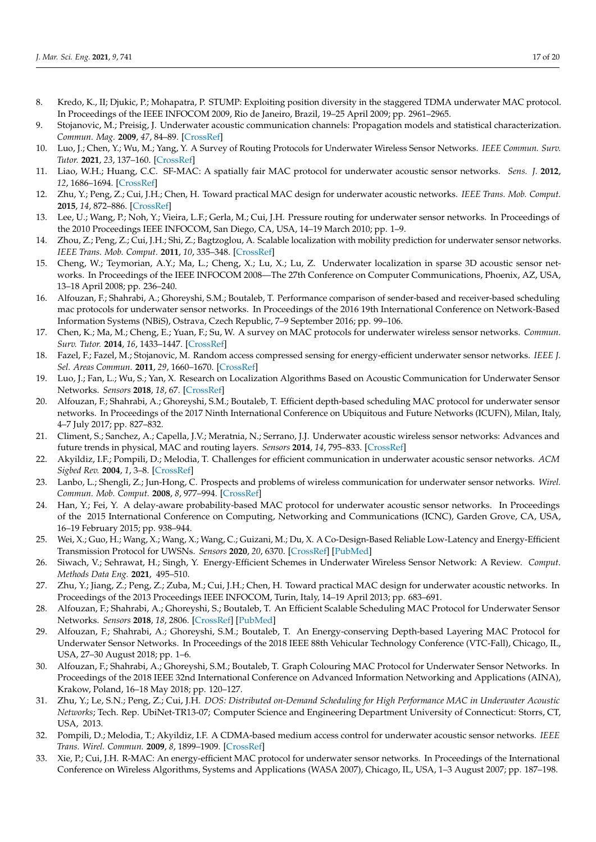- <span id="page-16-23"></span><span id="page-16-22"></span>8. Kredo, K., II; Djukic, P.; Mohapatra, P. STUMP: Exploiting position diversity in the staggered TDMA underwater MAC protocol. In Proceedings of the IEEE INFOCOM 2009, Rio de Janeiro, Brazil, 19–25 April 2009; pp. 2961–2965.
- 9. Stojanovic, M.; Preisig, J. Underwater acoustic communication channels: Propagation models and statistical characterization. *Commun. Mag.* **2009**, *47*, 84–89. [\[CrossRef\]](http://dx.doi.org/10.1109/MCOM.2009.4752682)
- <span id="page-16-24"></span><span id="page-16-0"></span>10. Luo, J.; Chen, Y.; Wu, M.; Yang, Y. A Survey of Routing Protocols for Underwater Wireless Sensor Networks. *IEEE Commun. Surv. Tutor.* **2021**, *23*, 137–160. [\[CrossRef\]](http://dx.doi.org/10.1109/COMST.2020.3048190)
- <span id="page-16-1"></span>11. Liao, W.H.; Huang, C.C. SF-MAC: A spatially fair MAC protocol for underwater acoustic sensor networks. *Sens. J.* **2012**, *12*, 1686–1694. [\[CrossRef\]](http://dx.doi.org/10.1109/JSEN.2011.2177083)
- <span id="page-16-14"></span>12. Zhu, Y.; Peng, Z.; Cui, J.H.; Chen, H. Toward practical MAC design for underwater acoustic networks. *IEEE Trans. Mob. Comput.* **2015**, *14*, 872–886. [\[CrossRef\]](http://dx.doi.org/10.1109/TMC.2014.2330299)
- <span id="page-16-2"></span>13. Lee, U.; Wang, P.; Noh, Y.; Vieira, L.F.; Gerla, M.; Cui, J.H. Pressure routing for underwater sensor networks. In Proceedings of the 2010 Proceedings IEEE INFOCOM, San Diego, CA, USA, 14–19 March 2010; pp. 1–9.
- <span id="page-16-3"></span>14. Zhou, Z.; Peng, Z.; Cui, J.H.; Shi, Z.; Bagtzoglou, A. Scalable localization with mobility prediction for underwater sensor networks. *IEEE Trans. Mob. Comput.* **2011**, *10*, 335–348. [\[CrossRef\]](http://dx.doi.org/10.1109/TMC.2010.158)
- 15. Cheng, W.; Teymorian, A.Y.; Ma, L.; Cheng, X.; Lu, X.; Lu, Z. Underwater localization in sparse 3D acoustic sensor networks. In Proceedings of the IEEE INFOCOM 2008—The 27th Conference on Computer Communications, Phoenix, AZ, USA, 13–18 April 2008; pp. 236–240.
- <span id="page-16-21"></span>16. Alfouzan, F.; Shahrabi, A.; Ghoreyshi, S.M.; Boutaleb, T. Performance comparison of sender-based and receiver-based scheduling mac protocols for underwater sensor networks. In Proceedings of the 2016 19th International Conference on Network-Based Information Systems (NBiS), Ostrava, Czech Republic, 7–9 September 2016; pp. 99–106.
- <span id="page-16-4"></span>17. Chen, K.; Ma, M.; Cheng, E.; Yuan, F.; Su, W. A survey on MAC protocols for underwater wireless sensor networks. *Commun. Surv. Tutor.* **2014**, *16*, 1433–1447. [\[CrossRef\]](http://dx.doi.org/10.1109/SURV.2014.013014.00032)
- <span id="page-16-25"></span><span id="page-16-5"></span>18. Fazel, F.; Fazel, M.; Stojanovic, M. Random access compressed sensing for energy-efficient underwater sensor networks. *IEEE J. Sel. Areas Commun.* **2011**, *29*, 1660–1670. [\[CrossRef\]](http://dx.doi.org/10.1109/JSAC.2011.110915)
- <span id="page-16-26"></span><span id="page-16-6"></span>19. Luo, J.; Fan, L.; Wu, S.; Yan, X. Research on Localization Algorithms Based on Acoustic Communication for Underwater Sensor Networks. *Sensors* **2018**, *18*, 67. [\[CrossRef\]](http://dx.doi.org/10.3390/s18010067)
- <span id="page-16-27"></span><span id="page-16-7"></span>20. Alfouzan, F.; Shahrabi, A.; Ghoreyshi, S.M.; Boutaleb, T. Efficient depth-based scheduling MAC protocol for underwater sensor networks. In Proceedings of the 2017 Ninth International Conference on Ubiquitous and Future Networks (ICUFN), Milan, Italy, 4–7 July 2017; pp. 827–832.
- <span id="page-16-8"></span>21. Climent, S.; Sanchez, A.; Capella, J.V.; Meratnia, N.; Serrano, J.J. Underwater acoustic wireless sensor networks: Advances and future trends in physical, MAC and routing layers. *Sensors* **2014**, *14*, 795–833. [\[CrossRef\]](http://dx.doi.org/10.3390/s140100795)
- <span id="page-16-20"></span>22. Akyildiz, I.F.; Pompili, D.; Melodia, T. Challenges for efficient communication in underwater acoustic sensor networks. *ACM Sigbed Rev.* **2004**, *1*, 3–8. [\[CrossRef\]](http://dx.doi.org/10.1145/1121776.1121779)
- <span id="page-16-9"></span>23. Lanbo, L.; Shengli, Z.; Jun-Hong, C. Prospects and problems of wireless communication for underwater sensor networks. *Wirel. Commun. Mob. Comput.* **2008**, *8*, 977–994. [\[CrossRef\]](http://dx.doi.org/10.1002/wcm.654)
- <span id="page-16-10"></span>24. Han, Y.; Fei, Y. A delay-aware probability-based MAC protocol for underwater acoustic sensor networks. In Proceedings of the 2015 International Conference on Computing, Networking and Communications (ICNC), Garden Grove, CA, USA, 16–19 February 2015; pp. 938–944.
- 25. Wei, X.; Guo, H.; Wang, X.; Wang, X.; Wang, C.; Guizani, M.; Du, X. A Co-Design-Based Reliable Low-Latency and Energy-Efficient Transmission Protocol for UWSNs. *Sensors* **2020**, *20*, 6370. [\[CrossRef\]](http://dx.doi.org/10.3390/s20216370) [\[PubMed\]](http://www.ncbi.nlm.nih.gov/pubmed/33171680)
- <span id="page-16-11"></span>26. Siwach, V.; Sehrawat, H.; Singh, Y. Energy-Efficient Schemes in Underwater Wireless Sensor Network: A Review. *Comput. Methods Data Eng.* **2021**, 495–510.
- <span id="page-16-12"></span>27. Zhu, Y.; Jiang, Z.; Peng, Z.; Zuba, M.; Cui, J.H.; Chen, H. Toward practical MAC design for underwater acoustic networks. In Proceedings of the 2013 Proceedings IEEE INFOCOM, Turin, Italy, 14–19 April 2013; pp. 683–691.
- <span id="page-16-19"></span>28. Alfouzan, F.; Shahrabi, A.; Ghoreyshi, S.; Boutaleb, T. An Efficient Scalable Scheduling MAC Protocol for Underwater Sensor Networks. *Sensors* **2018**, *18*, 2806. [\[CrossRef\]](http://dx.doi.org/10.3390/s18092806) [\[PubMed\]](http://www.ncbi.nlm.nih.gov/pubmed/30149652)
- <span id="page-16-13"></span>29. Alfouzan, F.; Shahrabi, A.; Ghoreyshi, S.M.; Boutaleb, T. An Energy-conserving Depth-based Layering MAC Protocol for Underwater Sensor Networks. In Proceedings of the 2018 IEEE 88th Vehicular Technology Conference (VTC-Fall), Chicago, IL, USA, 27–30 August 2018; pp. 1–6.
- <span id="page-16-15"></span>30. Alfouzan, F.; Shahrabi, A.; Ghoreyshi, S.M.; Boutaleb, T. Graph Colouring MAC Protocol for Underwater Sensor Networks. In Proceedings of the 2018 IEEE 32nd International Conference on Advanced Information Networking and Applications (AINA), Krakow, Poland, 16–18 May 2018; pp. 120–127.
- <span id="page-16-16"></span>31. Zhu, Y.; Le, S.N.; Peng, Z.; Cui, J.H. *DOS: Distributed on-Demand Scheduling for High Performance MAC in Underwater Acoustic Networks*; Tech. Rep. UbiNet-TR13-07; Computer Science and Engineering Department University of Connecticut: Storrs, CT, USA, 2013.
- <span id="page-16-17"></span>32. Pompili, D.; Melodia, T.; Akyildiz, I.F. A CDMA-based medium access control for underwater acoustic sensor networks. *IEEE Trans. Wirel. Commun.* **2009**, *8*, 1899–1909. [\[CrossRef\]](http://dx.doi.org/10.1109/TWC.2009.080195)
- <span id="page-16-18"></span>33. Xie, P.; Cui, J.H. R-MAC: An energy-efficient MAC protocol for underwater sensor networks. In Proceedings of the International Conference on Wireless Algorithms, Systems and Applications (WASA 2007), Chicago, IL, USA, 1–3 August 2007; pp. 187–198.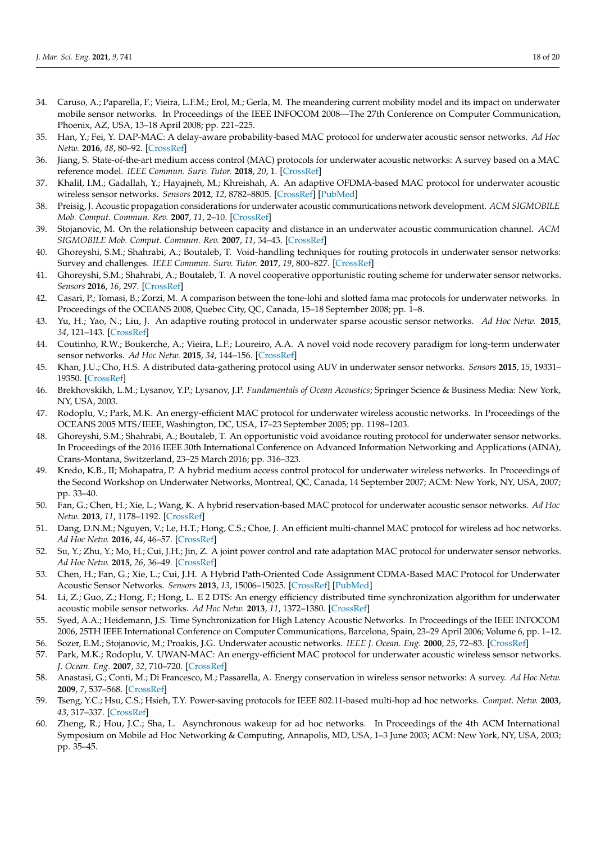- <span id="page-17-25"></span><span id="page-17-0"></span>34. Caruso, A.; Paparella, F.; Vieira, L.F.M.; Erol, M.; Gerla, M. The meandering current mobility model and its impact on underwater mobile sensor networks. In Proceedings of the IEEE INFOCOM 2008—The 27th Conference on Computer Communication, Phoenix, AZ, USA, 13–18 April 2008; pp. 221–225.
- <span id="page-17-1"></span>35. Han, Y.; Fei, Y. DAP-MAC: A delay-aware probability-based MAC protocol for underwater acoustic sensor networks. *Ad Hoc Netw.* **2016**, *48*, 80–92. [\[CrossRef\]](http://dx.doi.org/10.1016/j.adhoc.2016.05.003)
- <span id="page-17-2"></span>36. Jiang, S. State-of-the-art medium access control (MAC) protocols for underwater acoustic networks: A survey based on a MAC reference model. *IEEE Commun. Surv. Tutor.* **2018**, *20*, 1. [\[CrossRef\]](http://dx.doi.org/10.1109/COMST.2017.2768802)
- <span id="page-17-3"></span>37. Khalil, I.M.; Gadallah, Y.; Hayajneh, M.; Khreishah, A. An adaptive OFDMA-based MAC protocol for underwater acoustic wireless sensor networks. *Sensors* **2012**, *12*, 8782–8805. [\[CrossRef\]](http://dx.doi.org/10.3390/s120708782) [\[PubMed\]](http://www.ncbi.nlm.nih.gov/pubmed/23012517)
- <span id="page-17-4"></span>38. Preisig, J. Acoustic propagation considerations for underwater acoustic communications network development. *ACM SIGMOBILE Mob. Comput. Commun. Rev.* **2007**, *11*, 2–10. [\[CrossRef\]](http://dx.doi.org/10.1145/1347364.1347370)
- <span id="page-17-5"></span>39. Stojanovic, M. On the relationship between capacity and distance in an underwater acoustic communication channel. *ACM SIGMOBILE Mob. Comput. Commun. Rev.* **2007**, *11*, 34–43. [\[CrossRef\]](http://dx.doi.org/10.1145/1347364.1347373)
- <span id="page-17-6"></span>40. Ghoreyshi, S.M.; Shahrabi, A.; Boutaleb, T. Void-handling techniques for routing protocols in underwater sensor networks: Survey and challenges. *IEEE Commun. Surv. Tutor.* **2017**, *19*, 800–827. [\[CrossRef\]](http://dx.doi.org/10.1109/COMST.2017.2657881)
- <span id="page-17-7"></span>41. Ghoreyshi, S.M.; Shahrabi, A.; Boutaleb, T. A novel cooperative opportunistic routing scheme for underwater sensor networks. *Sensors* **2016**, *16*, 297. [\[CrossRef\]](http://dx.doi.org/10.3390/s16030297)
- <span id="page-17-8"></span>42. Casari, P.; Tomasi, B.; Zorzi, M. A comparison between the tone-lohi and slotted fama mac protocols for underwater networks. In Proceedings of the OCEANS 2008, Quebec City, QC, Canada, 15–18 September 2008; pp. 1–8.
- <span id="page-17-9"></span>43. Yu, H.; Yao, N.; Liu, J. An adaptive routing protocol in underwater sparse acoustic sensor networks. *Ad Hoc Netw.* **2015**, *34*, 121–143. [\[CrossRef\]](http://dx.doi.org/10.1016/j.adhoc.2014.09.016)
- 44. Coutinho, R.W.; Boukerche, A.; Vieira, L.F.; Loureiro, A.A. A novel void node recovery paradigm for long-term underwater sensor networks. *Ad Hoc Netw.* **2015**, *34*, 144–156. [\[CrossRef\]](http://dx.doi.org/10.1016/j.adhoc.2015.01.012)
- 45. Khan, J.U.; Cho, H.S. A distributed data-gathering protocol using AUV in underwater sensor networks. *Sensors* **2015**, *15*, 19331– 19350. [\[CrossRef\]](http://dx.doi.org/10.3390/s150819331)
- <span id="page-17-10"></span>46. Brekhovskikh, L.M.; Lysanov, Y.P.; Lysanov, J.P. *Fundamentals of Ocean Acoustics*; Springer Science & Business Media: New York, NY, USA, 2003.
- <span id="page-17-11"></span>47. Rodoplu, V.; Park, M.K. An energy-efficient MAC protocol for underwater wireless acoustic networks. In Proceedings of the OCEANS 2005 MTS/IEEE, Washington, DC, USA, 17–23 September 2005; pp. 1198–1203.
- <span id="page-17-12"></span>48. Ghoreyshi, S.M.; Shahrabi, A.; Boutaleb, T. An opportunistic void avoidance routing protocol for underwater sensor networks. In Proceedings of the 2016 IEEE 30th International Conference on Advanced Information Networking and Applications (AINA), Crans-Montana, Switzerland, 23–25 March 2016; pp. 316–323.
- <span id="page-17-13"></span>49. Kredo, K.B., II; Mohapatra, P. A hybrid medium access control protocol for underwater wireless networks. In Proceedings of the Second Workshop on Underwater Networks, Montreal, QC, Canada, 14 September 2007; ACM: New York, NY, USA, 2007; pp. 33–40.
- <span id="page-17-14"></span>50. Fan, G.; Chen, H.; Xie, L.; Wang, K. A hybrid reservation-based MAC protocol for underwater acoustic sensor networks. *Ad Hoc Netw.* **2013**, *11*, 1178–1192. [\[CrossRef\]](http://dx.doi.org/10.1016/j.adhoc.2013.01.002)
- <span id="page-17-15"></span>51. Dang, D.N.M.; Nguyen, V.; Le, H.T.; Hong, C.S.; Choe, J. An efficient multi-channel MAC protocol for wireless ad hoc networks. *Ad Hoc Netw.* **2016**, *44*, 46–57. [\[CrossRef\]](http://dx.doi.org/10.1016/j.adhoc.2016.02.013)
- <span id="page-17-16"></span>52. Su, Y.; Zhu, Y.; Mo, H.; Cui, J.H.; Jin, Z. A joint power control and rate adaptation MAC protocol for underwater sensor networks. *Ad Hoc Netw.* **2015**, *26*, 36–49. [\[CrossRef\]](http://dx.doi.org/10.1016/j.adhoc.2014.10.014)
- <span id="page-17-17"></span>53. Chen, H.; Fan, G.; Xie, L.; Cui, J.H. A Hybrid Path-Oriented Code Assignment CDMA-Based MAC Protocol for Underwater Acoustic Sensor Networks. *Sensors* **2013**, *13*, 15006–15025. [\[CrossRef\]](http://dx.doi.org/10.3390/s131115006) [\[PubMed\]](http://www.ncbi.nlm.nih.gov/pubmed/24193100)
- <span id="page-17-18"></span>54. Li, Z.; Guo, Z.; Hong, F.; Hong, L. E 2 DTS: An energy efficiency distributed time synchronization algorithm for underwater acoustic mobile sensor networks. *Ad Hoc Netw.* **2013**, *11*, 1372–1380. [\[CrossRef\]](http://dx.doi.org/10.1016/j.adhoc.2011.03.008)
- <span id="page-17-19"></span>55. Syed, A.A.; Heidemann, J.S. Time Synchronization for High Latency Acoustic Networks. In Proceedings of the IEEE INFOCOM 2006, 25TH IEEE International Conference on Computer Communications, Barcelona, Spain, 23–29 April 2006; Volume 6, pp. 1–12.
- <span id="page-17-20"></span>56. Sozer, E.M.; Stojanovic, M.; Proakis, J.G. Underwater acoustic networks. *IEEE J. Ocean. Eng.* **2000**, *25*, 72–83. [\[CrossRef\]](http://dx.doi.org/10.1109/48.820738)
- <span id="page-17-21"></span>57. Park, M.K.; Rodoplu, V. UWAN-MAC: An energy-efficient MAC protocol for underwater acoustic wireless sensor networks. *J. Ocean. Eng.* **2007**, *32*, 710–720. [\[CrossRef\]](http://dx.doi.org/10.1109/JOE.2007.899277)
- <span id="page-17-22"></span>58. Anastasi, G.; Conti, M.; Di Francesco, M.; Passarella, A. Energy conservation in wireless sensor networks: A survey. *Ad Hoc Netw.* **2009**, *7*, 537–568. [\[CrossRef\]](http://dx.doi.org/10.1016/j.adhoc.2008.06.003)
- <span id="page-17-23"></span>59. Tseng, Y.C.; Hsu, C.S.; Hsieh, T.Y. Power-saving protocols for IEEE 802.11-based multi-hop ad hoc networks. *Comput. Netw.* **2003**, *43*, 317–337. [\[CrossRef\]](http://dx.doi.org/10.1016/S1389-1286(03)00284-6)
- <span id="page-17-24"></span>60. Zheng, R.; Hou, J.C.; Sha, L. Asynchronous wakeup for ad hoc networks. In Proceedings of the 4th ACM International Symposium on Mobile ad Hoc Networking & Computing, Annapolis, MD, USA, 1–3 June 2003; ACM: New York, NY, USA, 2003; pp. 35–45.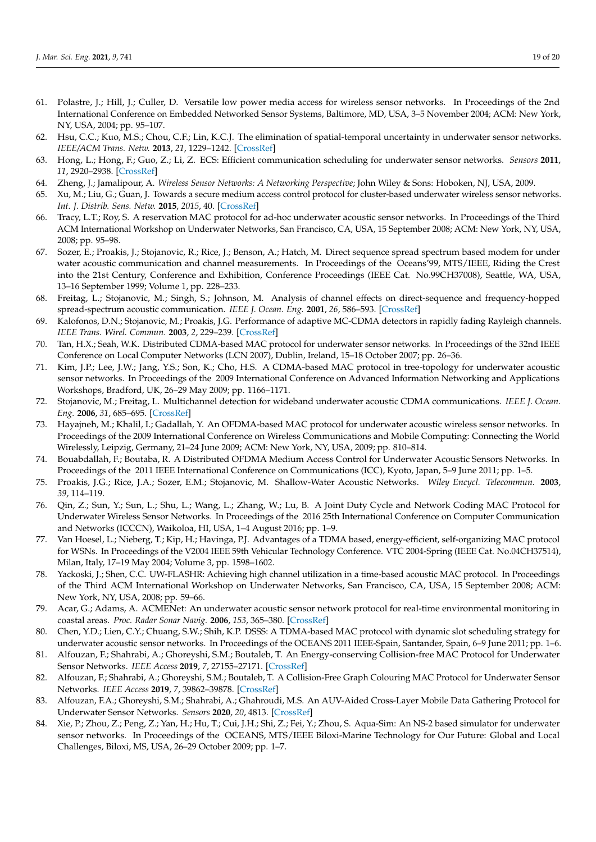- <span id="page-18-19"></span><span id="page-18-18"></span><span id="page-18-0"></span>61. Polastre, J.; Hill, J.; Culler, D. Versatile low power media access for wireless sensor networks. In Proceedings of the 2nd International Conference on Embedded Networked Sensor Systems, Baltimore, MD, USA, 3–5 November 2004; ACM: New York, NY, USA, 2004; pp. 95–107.
- <span id="page-18-1"></span>62. Hsu, C.C.; Kuo, M.S.; Chou, C.F.; Lin, K.C.J. The elimination of spatial-temporal uncertainty in underwater sensor networks. *IEEE/ACM Trans. Netw.* **2013**, *21*, 1229–1242. [\[CrossRef\]](http://dx.doi.org/10.1109/TNET.2012.2220155)
- 63. Hong, L.; Hong, F.; Guo, Z.; Li, Z. ECS: Efficient communication scheduling for underwater sensor networks. *Sensors* **2011**, *11*, 2920–2938. [\[CrossRef\]](http://dx.doi.org/10.3390/s110302920)
- <span id="page-18-21"></span>64. Zheng, J.; Jamalipour, A. *Wireless Sensor Networks: A Networking Perspective*; John Wiley & Sons: Hoboken, NJ, USA, 2009.
- 65. Xu, M.; Liu, G.; Guan, J. Towards a secure medium access control protocol for cluster-based underwater wireless sensor networks. *Int. J. Distrib. Sens. Netw.* **2015**, *2015*, 40. [\[CrossRef\]](http://dx.doi.org/10.1155/2015/325474)
- <span id="page-18-20"></span><span id="page-18-2"></span>66. Tracy, L.T.; Roy, S. A reservation MAC protocol for ad-hoc underwater acoustic sensor networks. In Proceedings of the Third ACM International Workshop on Underwater Networks, San Francisco, CA, USA, 15 September 2008; ACM: New York, NY, USA, 2008; pp. 95–98.
- <span id="page-18-3"></span>67. Sozer, E.; Proakis, J.; Stojanovic, R.; Rice, J.; Benson, A.; Hatch, M. Direct sequence spread spectrum based modem for under water acoustic communication and channel measurements. In Proceedings of the Oceans'99, MTS/IEEE, Riding the Crest into the 21st Century, Conference and Exhibition, Conference Proceedings (IEEE Cat. No.99CH37008), Seattle, WA, USA, 13–16 September 1999; Volume 1, pp. 228–233.
- 68. Freitag, L.; Stojanovic, M.; Singh, S.; Johnson, M. Analysis of channel effects on direct-sequence and frequency-hopped spread-spectrum acoustic communication. *IEEE J. Ocean. Eng.* **2001**, *26*, 586–593. [\[CrossRef\]](http://dx.doi.org/10.1109/48.972098)
- <span id="page-18-24"></span>69. Kalofonos, D.N.; Stojanovic, M.; Proakis, J.G. Performance of adaptive MC-CDMA detectors in rapidly fading Rayleigh channels. *IEEE Trans. Wirel. Commun.* **2003**, *2*, 229–239. [\[CrossRef\]](http://dx.doi.org/10.1109/TWC.2003.808960)
- 70. Tan, H.X.; Seah, W.K. Distributed CDMA-based MAC protocol for underwater sensor networks. In Proceedings of the 32nd IEEE Conference on Local Computer Networks (LCN 2007), Dublin, Ireland, 15–18 October 2007; pp. 26–36.
- <span id="page-18-23"></span><span id="page-18-22"></span><span id="page-18-4"></span>71. Kim, J.P.; Lee, J.W.; Jang, Y.S.; Son, K.; Cho, H.S. A CDMA-based MAC protocol in tree-topology for underwater acoustic sensor networks. In Proceedings of the 2009 International Conference on Advanced Information Networking and Applications Workshops, Bradford, UK, 26–29 May 2009; pp. 1166–1171.
- <span id="page-18-5"></span>72. Stojanovic, M.; Freitag, L. Multichannel detection for wideband underwater acoustic CDMA communications. *IEEE J. Ocean. Eng.* **2006**, *31*, 685–695. [\[CrossRef\]](http://dx.doi.org/10.1109/JOE.2006.880389)
- <span id="page-18-6"></span>73. Hayajneh, M.; Khalil, I.; Gadallah, Y. An OFDMA-based MAC protocol for underwater acoustic wireless sensor networks. In Proceedings of the 2009 International Conference on Wireless Communications and Mobile Computing: Connecting the World Wirelessly, Leipzig, Germany, 21–24 June 2009; ACM: New York, NY, USA, 2009; pp. 810–814.
- <span id="page-18-7"></span>74. Bouabdallah, F.; Boutaba, R. A Distributed OFDMA Medium Access Control for Underwater Acoustic Sensors Networks. In Proceedings of the 2011 IEEE International Conference on Communications (ICC), Kyoto, Japan, 5–9 June 2011; pp. 1–5.
- <span id="page-18-8"></span>75. Proakis, J.G.; Rice, J.A.; Sozer, E.M.; Stojanovic, M. Shallow-Water Acoustic Networks. *Wiley Encycl. Telecommun.* **2003**, *39*, 114–119.
- <span id="page-18-9"></span>76. Qin, Z.; Sun, Y.; Sun, L.; Shu, L.; Wang, L.; Zhang, W.; Lu, B. A Joint Duty Cycle and Network Coding MAC Protocol for Underwater Wireless Sensor Networks. In Proceedings of the 2016 25th International Conference on Computer Communication and Networks (ICCCN), Waikoloa, HI, USA, 1–4 August 2016; pp. 1–9.
- <span id="page-18-10"></span>77. Van Hoesel, L.; Nieberg, T.; Kip, H.; Havinga, P.J. Advantages of a TDMA based, energy-efficient, self-organizing MAC protocol for WSNs. In Proceedings of the V2004 IEEE 59th Vehicular Technology Conference. VTC 2004-Spring (IEEE Cat. No.04CH37514), Milan, Italy, 17–19 May 2004; Volume 3, pp. 1598–1602.
- <span id="page-18-11"></span>78. Yackoski, J.; Shen, C.C. UW-FLASHR: Achieving high channel utilization in a time-based acoustic MAC protocol. In Proceedings of the Third ACM International Workshop on Underwater Networks, San Francisco, CA, USA, 15 September 2008; ACM: New York, NY, USA, 2008; pp. 59–66.
- <span id="page-18-12"></span>79. Acar, G.; Adams, A. ACMENet: An underwater acoustic sensor network protocol for real-time environmental monitoring in coastal areas. *Proc. Radar Sonar Navig.* **2006**, *153*, 365–380. [\[CrossRef\]](http://dx.doi.org/10.1049/ip-rsn:20045060)
- <span id="page-18-13"></span>80. Chen, Y.D.; Lien, C.Y.; Chuang, S.W.; Shih, K.P. DSSS: A TDMA-based MAC protocol with dynamic slot scheduling strategy for underwater acoustic sensor networks. In Proceedings of the OCEANS 2011 IEEE-Spain, Santander, Spain, 6–9 June 2011; pp. 1–6.
- <span id="page-18-14"></span>81. Alfouzan, F.; Shahrabi, A.; Ghoreyshi, S.M.; Boutaleb, T. An Energy-conserving Collision-free MAC Protocol for Underwater Sensor Networks. *IEEE Access* **2019**, *7*, 27155–27171. [\[CrossRef\]](http://dx.doi.org/10.1109/ACCESS.2019.2901646)
- <span id="page-18-15"></span>82. Alfouzan, F.; Shahrabi, A.; Ghoreyshi, S.M.; Boutaleb, T. A Collision-Free Graph Colouring MAC Protocol for Underwater Sensor Networks. *IEEE Access* **2019**, *7*, 39862–39878. [\[CrossRef\]](http://dx.doi.org/10.1109/ACCESS.2019.2906555)
- <span id="page-18-16"></span>83. Alfouzan, F.A.; Ghoreyshi, S.M.; Shahrabi, A.; Ghahroudi, M.S. An AUV-Aided Cross-Layer Mobile Data Gathering Protocol for Underwater Sensor Networks. *Sensors* **2020**, *20*, 4813. [\[CrossRef\]](http://dx.doi.org/10.3390/s20174813)
- <span id="page-18-17"></span>84. Xie, P.; Zhou, Z.; Peng, Z.; Yan, H.; Hu, T.; Cui, J.H.; Shi, Z.; Fei, Y.; Zhou, S. Aqua-Sim: An NS-2 based simulator for underwater sensor networks. In Proceedings of the OCEANS, MTS/IEEE Biloxi-Marine Technology for Our Future: Global and Local Challenges, Biloxi, MS, USA, 26–29 October 2009; pp. 1–7.